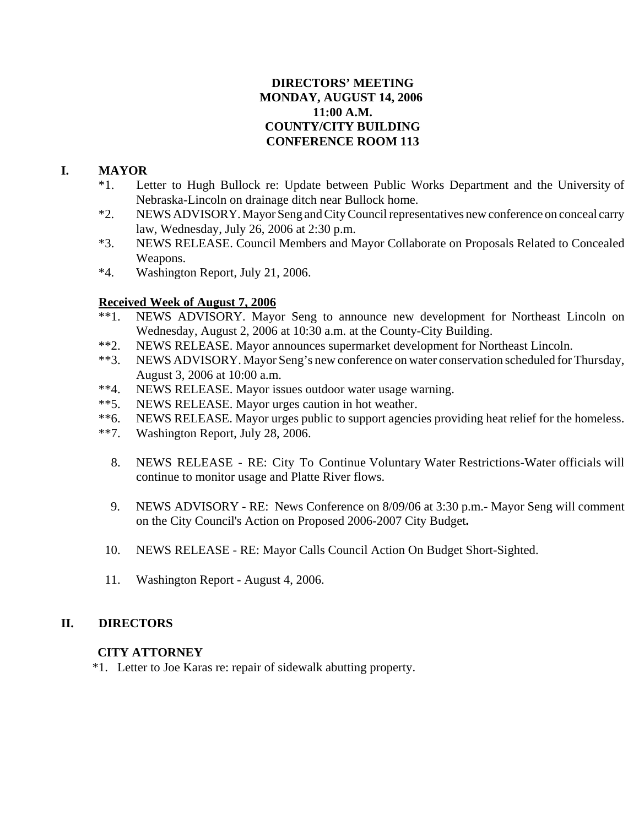## **DIRECTORS' MEETING MONDAY, AUGUST 14, 2006 11:00 A.M. COUNTY/CITY BUILDING CONFERENCE ROOM 113**

# **I. MAYOR**

- \*1. Letter to Hugh Bullock re: Update between Public Works Department and the University of Nebraska-Lincoln on drainage ditch near Bullock home.
- \*2. NEWS ADVISORY. Mayor Seng and City Council representatives new conference on conceal carry law, Wednesday, July 26, 2006 at 2:30 p.m.
- \*3. NEWS RELEASE. Council Members and Mayor Collaborate on Proposals Related to Concealed Weapons.
- \*4. Washington Report, July 21, 2006.

## **Received Week of August 7, 2006**

- \*\*1. NEWS ADVISORY. Mayor Seng to announce new development for Northeast Lincoln on Wednesday, August 2, 2006 at 10:30 a.m. at the County-City Building.
- \*\*2. NEWS RELEASE. Mayor announces supermarket development for Northeast Lincoln.
- \*\*3. NEWS ADVISORY. Mayor Seng's new conference on water conservation scheduled for Thursday, August 3, 2006 at 10:00 a.m.
- \*\*4. NEWS RELEASE. Mayor issues outdoor water usage warning.
- \*\*5. NEWS RELEASE. Mayor urges caution in hot weather.
- \*\*6. NEWS RELEASE. Mayor urges public to support agencies providing heat relief for the homeless.
- \*\*7. Washington Report, July 28, 2006.
	- 8. NEWS RELEASE RE: City To Continue Voluntary Water Restrictions-Water officials will continue to monitor usage and Platte River flows.
	- 9. NEWS ADVISORY RE: News Conference on 8/09/06 at 3:30 p.m.- Mayor Seng will comment on the City Council's Action on Proposed 2006-2007 City Budget**.**
- 10. NEWS RELEASE RE: Mayor Calls Council Action On Budget Short-Sighted.
- 11. Washington Report August 4, 2006.

## **II. DIRECTORS**

## **CITY ATTORNEY**

\*1. Letter to Joe Karas re: repair of sidewalk abutting property.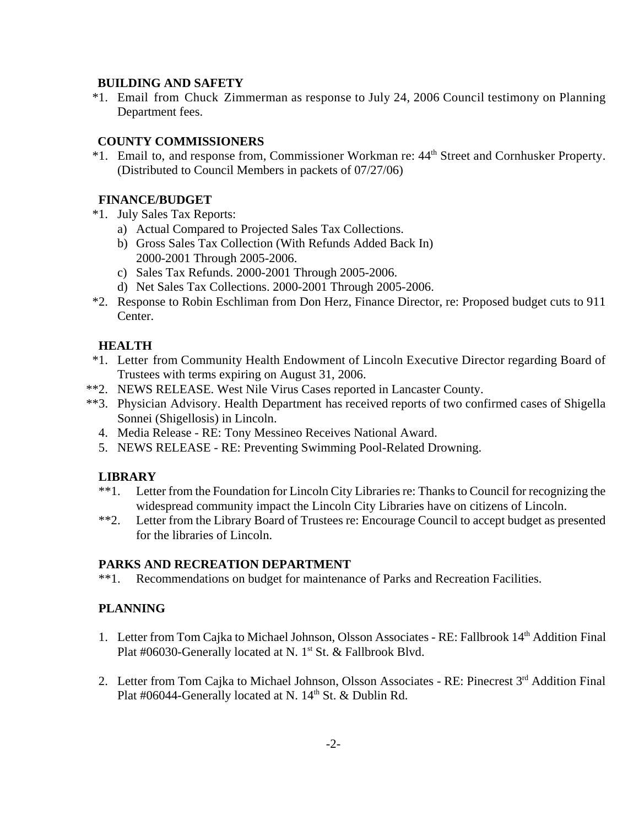## **BUILDING AND SAFETY**

 \*1. Email from Chuck Zimmerman as response to July 24, 2006 Council testimony on Planning Department fees.

## **COUNTY COMMISSIONERS**

 \*1. Email to, and response from, Commissioner Workman re: 44th Street and Cornhusker Property. (Distributed to Council Members in packets of 07/27/06)

## **FINANCE/BUDGET**

- \*1. July Sales Tax Reports:
	- a) Actual Compared to Projected Sales Tax Collections.
	- b) Gross Sales Tax Collection (With Refunds Added Back In) 2000-2001 Through 2005-2006.
	- c) Sales Tax Refunds. 2000-2001 Through 2005-2006.
	- d) Net Sales Tax Collections. 2000-2001 Through 2005-2006.
- \*2. Response to Robin Eschliman from Don Herz, Finance Director, re: Proposed budget cuts to 911 Center.

## **HEALTH**

- \*1. Letter from Community Health Endowment of Lincoln Executive Director regarding Board of Trustees with terms expiring on August 31, 2006.
- \*\*2. NEWS RELEASE. West Nile Virus Cases reported in Lancaster County.
- \*\*3. Physician Advisory. Health Department has received reports of two confirmed cases of Shigella Sonnei (Shigellosis) in Lincoln.
	- 4. Media Release RE: Tony Messineo Receives National Award.
	- 5. NEWS RELEASE RE: Preventing Swimming Pool-Related Drowning.

## **LIBRARY**

- \*\*1. Letter from the Foundation for Lincoln City Libraries re: Thanks to Council for recognizing the widespread community impact the Lincoln City Libraries have on citizens of Lincoln.
- \*\*2. Letter from the Library Board of Trustees re: Encourage Council to accept budget as presented for the libraries of Lincoln.

## **PARKS AND RECREATION DEPARTMENT**

\*\*1. Recommendations on budget for maintenance of Parks and Recreation Facilities.

## **PLANNING**

- 1. Letter from Tom Cajka to Michael Johnson, Olsson Associates RE: Fallbrook 14<sup>th</sup> Addition Final Plat #06030-Generally located at N.  $1<sup>st</sup>$  St. & Fallbrook Blvd.
- 2. Letter from Tom Cajka to Michael Johnson, Olsson Associates RE: Pinecrest 3<sup>rd</sup> Addition Final Plat #06044-Generally located at N. 14<sup>th</sup> St. & Dublin Rd.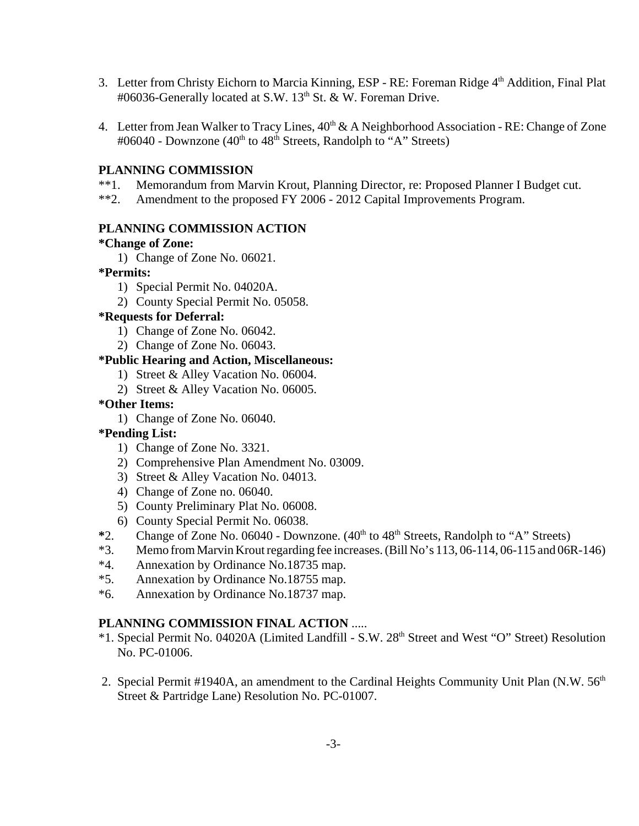- 3. Letter from Christy Eichorn to Marcia Kinning, ESP RE: Foreman Ridge 4<sup>th</sup> Addition, Final Plat #06036-Generally located at S.W. 13<sup>th</sup> St. & W. Foreman Drive.
- 4. Letter from Jean Walker to Tracy Lines,  $40^{th}$  & A Neighborhood Association RE: Change of Zone #06040 - Downzone (40<sup>th</sup> to 48<sup>th</sup> Streets, Randolph to "A" Streets)

## **PLANNING COMMISSION**

- \*\*1. Memorandum from Marvin Krout, Planning Director, re: Proposed Planner I Budget cut.
- \*\*2. Amendment to the proposed FY 2006 2012 Capital Improvements Program.

#### **PLANNING COMMISSION ACTION**

#### **\*Change of Zone:**

1) Change of Zone No. 06021.

#### **\*Permits:**

- 1) Special Permit No. 04020A.
- 2) County Special Permit No. 05058.

## **\*Requests for Deferral:**

- 1) Change of Zone No. 06042.
- 2) Change of Zone No. 06043.

#### **\*Public Hearing and Action, Miscellaneous:**

- 1) Street & Alley Vacation No. 06004.
- 2) Street & Alley Vacation No. 06005.

#### **\*Other Items:**

1) Change of Zone No. 06040.

## **\*Pending List:**

- 1) Change of Zone No. 3321.
- 2) Comprehensive Plan Amendment No. 03009.
- 3) Street & Alley Vacation No. 04013.
- 4) Change of Zone no. 06040.
- 5) County Preliminary Plat No. 06008.
- 6) County Special Permit No. 06038.
- <sup>\*2</sup>. Change of Zone No. 06040 Downzone. (40<sup>th</sup> to 48<sup>th</sup> Streets, Randolph to "A" Streets)
- \*3. Memo from Marvin Krout regarding fee increases. (Bill No's 113, 06-114, 06-115 and 06R-146)
- \*4. Annexation by Ordinance No.18735 map.
- \*5. Annexation by Ordinance No.18755 map.
- \*6. Annexation by Ordinance No.18737 map.

## **PLANNING COMMISSION FINAL ACTION** .....

- \*1. Special Permit No. 04020A (Limited Landfill S.W. 28th Street and West "O" Street) Resolution No. PC-01006.
- 2. Special Permit #1940A, an amendment to the Cardinal Heights Community Unit Plan (N.W. 56<sup>th</sup>) Street & Partridge Lane) Resolution No. PC-01007.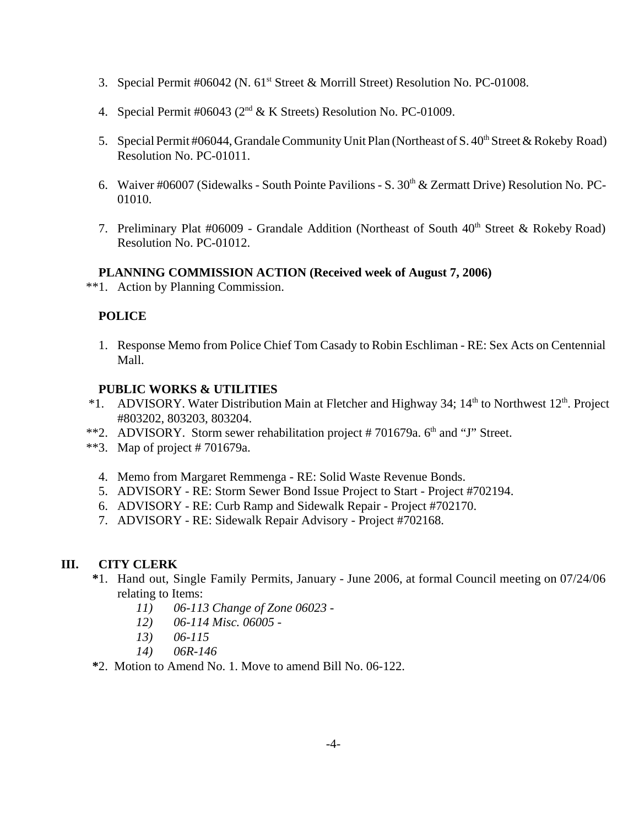- 3. Special Permit #06042 (N. 61<sup>st</sup> Street & Morrill Street) Resolution No. PC-01008.
- 4. Special Permit #06043 ( $2<sup>nd</sup>$  & K Streets) Resolution No. PC-01009.
- 5. Special Permit #06044, Grandale Community Unit Plan (Northeast of S. 40<sup>th</sup> Street & Rokeby Road) Resolution No. PC-01011.
- 6. Waiver #06007 (Sidewalks South Pointe Pavilions S.  $30<sup>th</sup>$  & Zermatt Drive) Resolution No. PC-01010.
- 7. Preliminary Plat #06009 Grandale Addition (Northeast of South  $40<sup>th</sup>$  Street & Rokeby Road) Resolution No. PC-01012.

## **PLANNING COMMISSION ACTION (Received week of August 7, 2006)**

\*\*1. Action by Planning Commission.

## **POLICE**

1. Response Memo from Police Chief Tom Casady to Robin Eschliman - RE: Sex Acts on Centennial Mall.

## **PUBLIC WORKS & UTILITIES**

- \*1. ADVISORY. Water Distribution Main at Fletcher and Highway 34;  $14<sup>th</sup>$  to Northwest  $12<sup>th</sup>$ . Project #803202, 803203, 803204.
- \*\*2. ADVISORY. Storm sewer rehabilitation project  $#701679a$ .  $6<sup>th</sup>$  and "J" Street.
- \*\*3. Map of project # 701679a.
	- 4. Memo from Margaret Remmenga RE: Solid Waste Revenue Bonds.
	- 5. ADVISORY RE: Storm Sewer Bond Issue Project to Start Project #702194.
	- 6. ADVISORY RE: Curb Ramp and Sidewalk Repair Project #702170.
	- 7. ADVISORY RE: Sidewalk Repair Advisory Project #702168.

## **III. CITY CLERK**

- **\***1. Hand out, Single Family Permits, January June 2006, at formal Council meeting on 07/24/06 relating to Items:
	- *11) 06-113 Change of Zone 06023 -*
	- *12) 06-114 Misc. 06005 -*
	- *13) 06-115*
	- *14) 06R-146*
- **\***2. Motion to Amend No. 1. Move to amend Bill No. 06-122.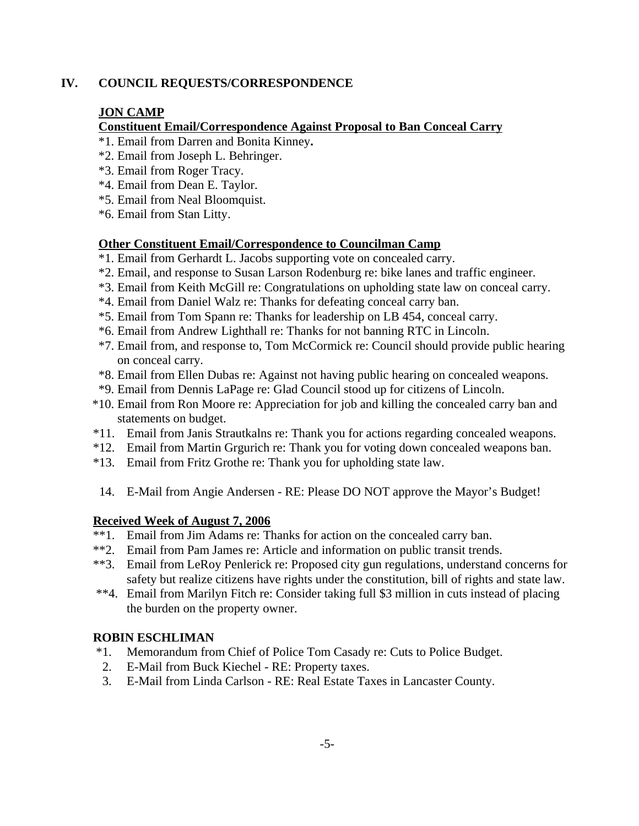## **IV. COUNCIL REQUESTS/CORRESPONDENCE**

## **JON CAMP**

## **Constituent Email/Correspondence Against Proposal to Ban Conceal Carry**

- \*1. Email from Darren and Bonita Kinney**.**
- \*2. Email from Joseph L. Behringer.
- \*3. Email from Roger Tracy.
- \*4. Email from Dean E. Taylor.
- \*5. Email from Neal Bloomquist.
- \*6. Email from Stan Litty.

## **Other Constituent Email/Correspondence to Councilman Camp**

- \*1. Email from Gerhardt L. Jacobs supporting vote on concealed carry.
- \*2. Email, and response to Susan Larson Rodenburg re: bike lanes and traffic engineer.
- \*3. Email from Keith McGill re: Congratulations on upholding state law on conceal carry.
- \*4. Email from Daniel Walz re: Thanks for defeating conceal carry ban.
- \*5. Email from Tom Spann re: Thanks for leadership on LB 454, conceal carry.
- \*6. Email from Andrew Lighthall re: Thanks for not banning RTC in Lincoln.
- \*7. Email from, and response to, Tom McCormick re: Council should provide public hearing on conceal carry.
- \*8. Email from Ellen Dubas re: Against not having public hearing on concealed weapons.
- \*9. Email from Dennis LaPage re: Glad Council stood up for citizens of Lincoln.
- \*10. Email from Ron Moore re: Appreciation for job and killing the concealed carry ban and statements on budget.
- \*11. Email from Janis Strautkalns re: Thank you for actions regarding concealed weapons.
- \*12. Email from Martin Grgurich re: Thank you for voting down concealed weapons ban.
- \*13. Email from Fritz Grothe re: Thank you for upholding state law.
- 14. E-Mail from Angie Andersen RE: Please DO NOT approve the Mayor's Budget!

## **Received Week of August 7, 2006**

- \*\*1. Email from Jim Adams re: Thanks for action on the concealed carry ban.
- \*\*2. Email from Pam James re: Article and information on public transit trends.
- \*\*3. Email from LeRoy Penlerick re: Proposed city gun regulations, understand concerns for safety but realize citizens have rights under the constitution, bill of rights and state law.
- \*\*4. Email from Marilyn Fitch re: Consider taking full \$3 million in cuts instead of placing the burden on the property owner.

## **ROBIN ESCHLIMAN**

- \*1. Memorandum from Chief of Police Tom Casady re: Cuts to Police Budget.
- 2. E-Mail from Buck Kiechel RE: Property taxes.
- 3. E-Mail from Linda Carlson RE: Real Estate Taxes in Lancaster County.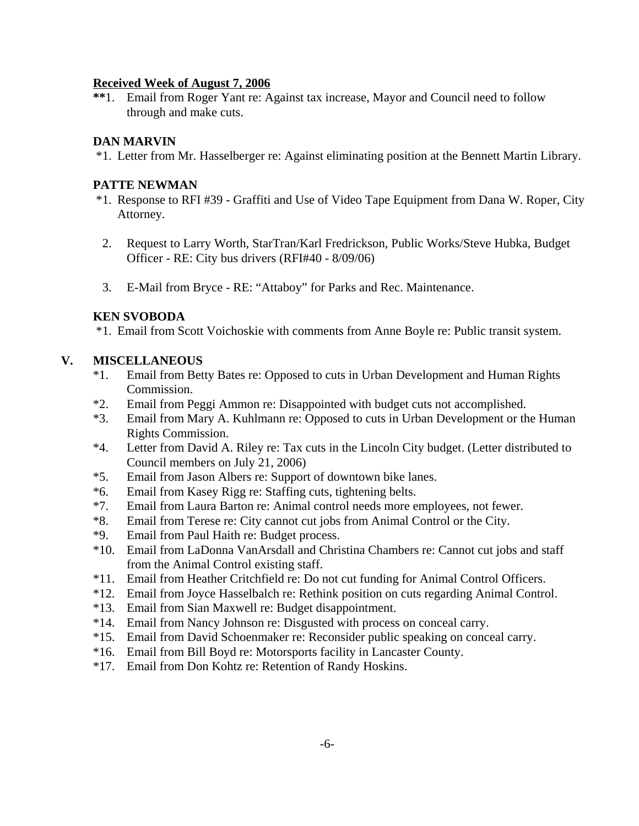## **Received Week of August 7, 2006**

**\*\***1. Email from Roger Yant re: Against tax increase, Mayor and Council need to follow through and make cuts.

## **DAN MARVIN**

\*1. Letter from Mr. Hasselberger re: Against eliminating position at the Bennett Martin Library.

#### **PATTE NEWMAN**

- \*1. Response to RFI #39 Graffiti and Use of Video Tape Equipment from Dana W. Roper, City Attorney.
- 2. Request to Larry Worth, StarTran/Karl Fredrickson, Public Works/Steve Hubka, Budget Officer - RE: City bus drivers (RFI#40 - 8/09/06)
- 3. E-Mail from Bryce RE: "Attaboy" for Parks and Rec. Maintenance.

#### **KEN SVOBODA**

\*1. Email from Scott Voichoskie with comments from Anne Boyle re: Public transit system.

## **V. MISCELLANEOUS**

- \*1. Email from Betty Bates re: Opposed to cuts in Urban Development and Human Rights Commission.
- \*2. Email from Peggi Ammon re: Disappointed with budget cuts not accomplished.
- \*3. Email from Mary A. Kuhlmann re: Opposed to cuts in Urban Development or the Human Rights Commission.
- \*4. Letter from David A. Riley re: Tax cuts in the Lincoln City budget. (Letter distributed to Council members on July 21, 2006)
- \*5. Email from Jason Albers re: Support of downtown bike lanes.
- \*6. Email from Kasey Rigg re: Staffing cuts, tightening belts.
- \*7. Email from Laura Barton re: Animal control needs more employees, not fewer.
- \*8. Email from Terese re: City cannot cut jobs from Animal Control or the City.
- \*9. Email from Paul Haith re: Budget process.
- \*10. Email from LaDonna VanArsdall and Christina Chambers re: Cannot cut jobs and staff from the Animal Control existing staff.
- \*11. Email from Heather Critchfield re: Do not cut funding for Animal Control Officers.
- \*12. Email from Joyce Hasselbalch re: Rethink position on cuts regarding Animal Control.
- \*13. Email from Sian Maxwell re: Budget disappointment.
- \*14. Email from Nancy Johnson re: Disgusted with process on conceal carry.
- \*15. Email from David Schoenmaker re: Reconsider public speaking on conceal carry.
- \*16. Email from Bill Boyd re: Motorsports facility in Lancaster County.
- \*17. Email from Don Kohtz re: Retention of Randy Hoskins.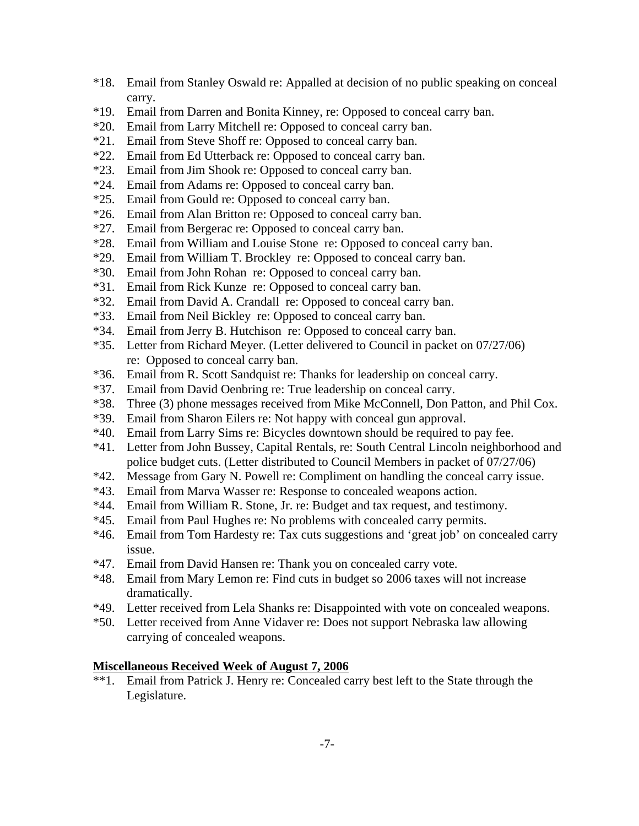- \*18. Email from Stanley Oswald re: Appalled at decision of no public speaking on conceal carry.
- \*19. Email from Darren and Bonita Kinney, re: Opposed to conceal carry ban.
- \*20. Email from Larry Mitchell re: Opposed to conceal carry ban.
- \*21. Email from Steve Shoff re: Opposed to conceal carry ban.
- \*22. Email from Ed Utterback re: Opposed to conceal carry ban.
- \*23. Email from Jim Shook re: Opposed to conceal carry ban.
- \*24. Email from Adams re: Opposed to conceal carry ban.
- \*25. Email from Gould re: Opposed to conceal carry ban.
- \*26. Email from Alan Britton re: Opposed to conceal carry ban.
- \*27. Email from Bergerac re: Opposed to conceal carry ban.
- \*28. Email from William and Louise Stone re: Opposed to conceal carry ban.
- \*29. Email from William T. Brockley re: Opposed to conceal carry ban.
- \*30. Email from John Rohan re: Opposed to conceal carry ban.
- \*31. Email from Rick Kunze re: Opposed to conceal carry ban.
- \*32. Email from David A. Crandall re: Opposed to conceal carry ban.
- \*33. Email from Neil Bickley re: Opposed to conceal carry ban.
- \*34. Email from Jerry B. Hutchison re: Opposed to conceal carry ban.
- \*35. Letter from Richard Meyer. (Letter delivered to Council in packet on 07/27/06) re: Opposed to conceal carry ban.
- \*36. Email from R. Scott Sandquist re: Thanks for leadership on conceal carry.
- \*37. Email from David Oenbring re: True leadership on conceal carry.
- \*38. Three (3) phone messages received from Mike McConnell, Don Patton, and Phil Cox.
- \*39. Email from Sharon Eilers re: Not happy with conceal gun approval.
- \*40. Email from Larry Sims re: Bicycles downtown should be required to pay fee.
- \*41. Letter from John Bussey, Capital Rentals, re: South Central Lincoln neighborhood and police budget cuts. (Letter distributed to Council Members in packet of 07/27/06)
- \*42. Message from Gary N. Powell re: Compliment on handling the conceal carry issue.
- \*43. Email from Marva Wasser re: Response to concealed weapons action.
- \*44. Email from William R. Stone, Jr. re: Budget and tax request, and testimony.
- \*45. Email from Paul Hughes re: No problems with concealed carry permits.
- \*46. Email from Tom Hardesty re: Tax cuts suggestions and 'great job' on concealed carry issue.
- \*47. Email from David Hansen re: Thank you on concealed carry vote.
- \*48. Email from Mary Lemon re: Find cuts in budget so 2006 taxes will not increase dramatically.
- \*49. Letter received from Lela Shanks re: Disappointed with vote on concealed weapons.
- \*50. Letter received from Anne Vidaver re: Does not support Nebraska law allowing carrying of concealed weapons.

## **Miscellaneous Received Week of August 7, 2006**

\*\*1. Email from Patrick J. Henry re: Concealed carry best left to the State through the Legislature.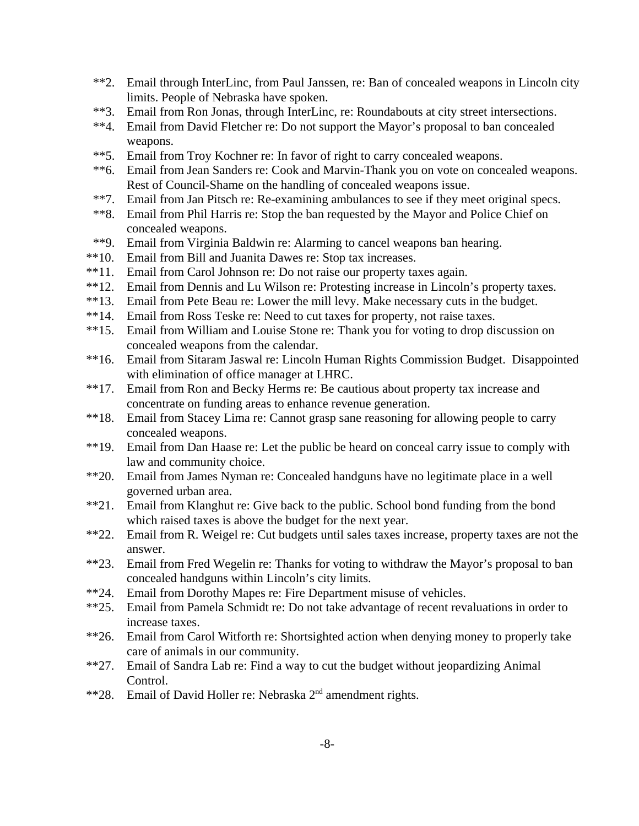- \*\*2. Email through InterLinc, from Paul Janssen, re: Ban of concealed weapons in Lincoln city limits. People of Nebraska have spoken.
- \*\*3. Email from Ron Jonas, through InterLinc, re: Roundabouts at city street intersections.
- \*\*4. Email from David Fletcher re: Do not support the Mayor's proposal to ban concealed weapons.
- \*\*5. Email from Troy Kochner re: In favor of right to carry concealed weapons.
- \*\*6. Email from Jean Sanders re: Cook and Marvin-Thank you on vote on concealed weapons. Rest of Council-Shame on the handling of concealed weapons issue.
- \*\*7. Email from Jan Pitsch re: Re-examining ambulances to see if they meet original specs.
- \*\*8. Email from Phil Harris re: Stop the ban requested by the Mayor and Police Chief on concealed weapons.
- \*\*9. Email from Virginia Baldwin re: Alarming to cancel weapons ban hearing.
- \*\*10. Email from Bill and Juanita Dawes re: Stop tax increases.
- \*\*11. Email from Carol Johnson re: Do not raise our property taxes again.
- \*\*12. Email from Dennis and Lu Wilson re: Protesting increase in Lincoln's property taxes.
- \*\*13. Email from Pete Beau re: Lower the mill levy. Make necessary cuts in the budget.
- \*\*14. Email from Ross Teske re: Need to cut taxes for property, not raise taxes.
- \*\*15. Email from William and Louise Stone re: Thank you for voting to drop discussion on concealed weapons from the calendar.
- \*\*16. Email from Sitaram Jaswal re: Lincoln Human Rights Commission Budget. Disappointed with elimination of office manager at LHRC.
- \*\*17. Email from Ron and Becky Herms re: Be cautious about property tax increase and concentrate on funding areas to enhance revenue generation.
- \*\*18. Email from Stacey Lima re: Cannot grasp sane reasoning for allowing people to carry concealed weapons.
- \*\*19. Email from Dan Haase re: Let the public be heard on conceal carry issue to comply with law and community choice.
- \*\*20. Email from James Nyman re: Concealed handguns have no legitimate place in a well governed urban area.
- \*\*21. Email from Klanghut re: Give back to the public. School bond funding from the bond which raised taxes is above the budget for the next year.
- \*\*22. Email from R. Weigel re: Cut budgets until sales taxes increase, property taxes are not the answer.
- \*\*23. Email from Fred Wegelin re: Thanks for voting to withdraw the Mayor's proposal to ban concealed handguns within Lincoln's city limits.
- \*\*24. Email from Dorothy Mapes re: Fire Department misuse of vehicles.
- \*\*25. Email from Pamela Schmidt re: Do not take advantage of recent revaluations in order to increase taxes.
- \*\*26. Email from Carol Witforth re: Shortsighted action when denying money to properly take care of animals in our community.
- \*\*27. Email of Sandra Lab re: Find a way to cut the budget without jeopardizing Animal Control.
- \*\*28. Email of David Holler re: Nebraska 2<sup>nd</sup> amendment rights.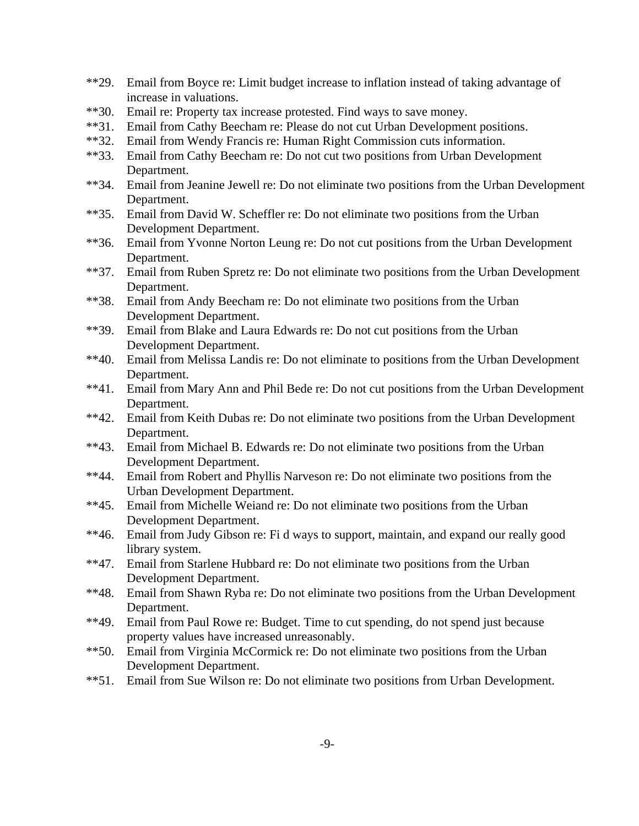- \*\*29. Email from Boyce re: Limit budget increase to inflation instead of taking advantage of increase in valuations.
- \*\*30. Email re: Property tax increase protested. Find ways to save money.
- \*\*31. Email from Cathy Beecham re: Please do not cut Urban Development positions.
- \*\*32. Email from Wendy Francis re: Human Right Commission cuts information.
- \*\*33. Email from Cathy Beecham re: Do not cut two positions from Urban Development Department.
- \*\*34. Email from Jeanine Jewell re: Do not eliminate two positions from the Urban Development Department.
- \*\*35. Email from David W. Scheffler re: Do not eliminate two positions from the Urban Development Department.
- \*\*36. Email from Yvonne Norton Leung re: Do not cut positions from the Urban Development Department.
- \*\*37. Email from Ruben Spretz re: Do not eliminate two positions from the Urban Development Department.
- \*\*38. Email from Andy Beecham re: Do not eliminate two positions from the Urban Development Department.
- \*\*39. Email from Blake and Laura Edwards re: Do not cut positions from the Urban Development Department.
- \*\*40. Email from Melissa Landis re: Do not eliminate to positions from the Urban Development Department.
- \*\*41. Email from Mary Ann and Phil Bede re: Do not cut positions from the Urban Development Department.
- \*\*42. Email from Keith Dubas re: Do not eliminate two positions from the Urban Development Department.
- \*\*43. Email from Michael B. Edwards re: Do not eliminate two positions from the Urban Development Department.
- \*\*44. Email from Robert and Phyllis Narveson re: Do not eliminate two positions from the Urban Development Department.
- \*\*45. Email from Michelle Weiand re: Do not eliminate two positions from the Urban Development Department.
- \*\*46. Email from Judy Gibson re: Fi d ways to support, maintain, and expand our really good library system.
- \*\*47. Email from Starlene Hubbard re: Do not eliminate two positions from the Urban Development Department.
- \*\*48. Email from Shawn Ryba re: Do not eliminate two positions from the Urban Development Department.
- \*\*49. Email from Paul Rowe re: Budget. Time to cut spending, do not spend just because property values have increased unreasonably.
- \*\*50. Email from Virginia McCormick re: Do not eliminate two positions from the Urban Development Department.
- \*\*51. Email from Sue Wilson re: Do not eliminate two positions from Urban Development.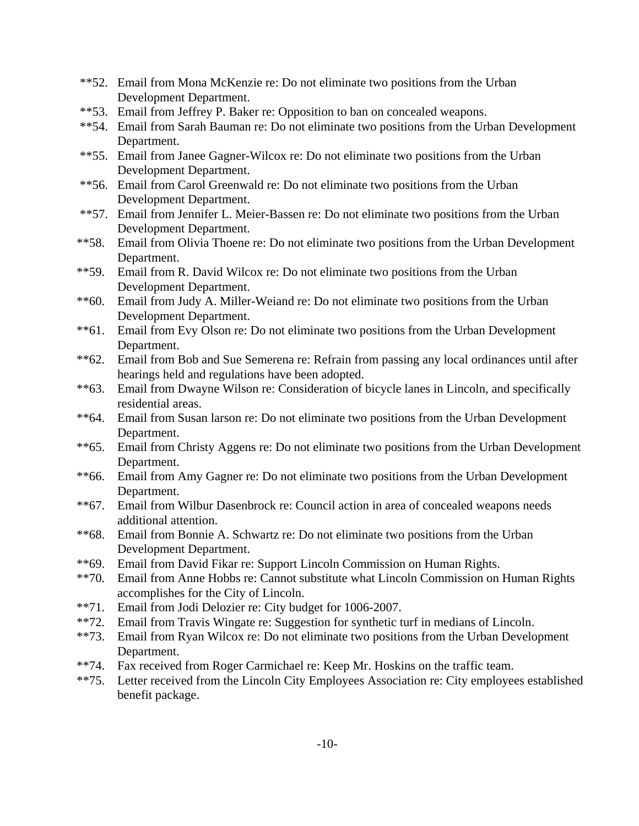- \*\*52. Email from Mona McKenzie re: Do not eliminate two positions from the Urban Development Department.
- \*\*53. Email from Jeffrey P. Baker re: Opposition to ban on concealed weapons.
- \*\*54. Email from Sarah Bauman re: Do not eliminate two positions from the Urban Development Department.
- \*\*55. Email from Janee Gagner-Wilcox re: Do not eliminate two positions from the Urban Development Department.
- \*\*56. Email from Carol Greenwald re: Do not eliminate two positions from the Urban Development Department.
- \*\*57. Email from Jennifer L. Meier-Bassen re: Do not eliminate two positions from the Urban Development Department.
- \*\*58. Email from Olivia Thoene re: Do not eliminate two positions from the Urban Development Department.
- \*\*59. Email from R. David Wilcox re: Do not eliminate two positions from the Urban Development Department.
- \*\*60. Email from Judy A. Miller-Weiand re: Do not eliminate two positions from the Urban Development Department.
- \*\*61. Email from Evy Olson re: Do not eliminate two positions from the Urban Development Department.
- \*\*62. Email from Bob and Sue Semerena re: Refrain from passing any local ordinances until after hearings held and regulations have been adopted.
- \*\*63. Email from Dwayne Wilson re: Consideration of bicycle lanes in Lincoln, and specifically residential areas.
- \*\*64. Email from Susan larson re: Do not eliminate two positions from the Urban Development Department.
- \*\*65. Email from Christy Aggens re: Do not eliminate two positions from the Urban Development Department.
- \*\*66. Email from Amy Gagner re: Do not eliminate two positions from the Urban Development Department.
- \*\*67. Email from Wilbur Dasenbrock re: Council action in area of concealed weapons needs additional attention.
- \*\*68. Email from Bonnie A. Schwartz re: Do not eliminate two positions from the Urban Development Department.
- \*\*69. Email from David Fikar re: Support Lincoln Commission on Human Rights.
- \*\*70. Email from Anne Hobbs re: Cannot substitute what Lincoln Commission on Human Rights accomplishes for the City of Lincoln.
- \*\*71. Email from Jodi Delozier re: City budget for 1006-2007.
- \*\*72. Email from Travis Wingate re: Suggestion for synthetic turf in medians of Lincoln.
- \*\*73. Email from Ryan Wilcox re: Do not eliminate two positions from the Urban Development Department.
- \*\*74. Fax received from Roger Carmichael re: Keep Mr. Hoskins on the traffic team.
- \*\*75. Letter received from the Lincoln City Employees Association re: City employees established benefit package.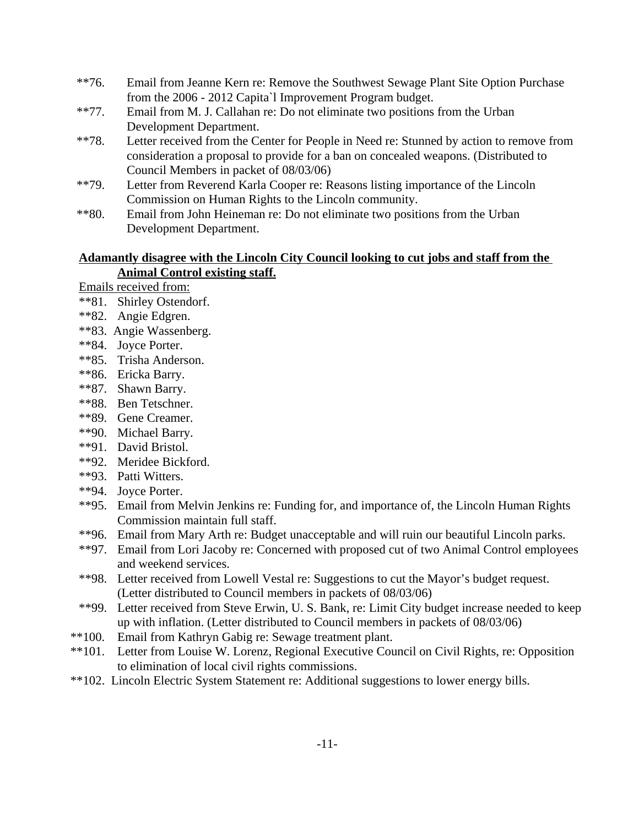- \*\*76. Email from Jeanne Kern re: Remove the Southwest Sewage Plant Site Option Purchase from the 2006 - 2012 Capita`l Improvement Program budget.
- \*\*77. Email from M. J. Callahan re: Do not eliminate two positions from the Urban Development Department.
- \*\*78. Letter received from the Center for People in Need re: Stunned by action to remove from consideration a proposal to provide for a ban on concealed weapons. (Distributed to Council Members in packet of 08/03/06)
- \*\*79. Letter from Reverend Karla Cooper re: Reasons listing importance of the Lincoln Commission on Human Rights to the Lincoln community.
- \*\*80. Email from John Heineman re: Do not eliminate two positions from the Urban Development Department.

#### **Adamantly disagree with the Lincoln City Council looking to cut jobs and staff from the Animal Control existing staff.**

Emails received from:

- \*\*81. Shirley Ostendorf.
- \*\*82. Angie Edgren.
- \*\*83. Angie Wassenberg.
- \*\*84. Joyce Porter.
- \*\*85. Trisha Anderson.
- \*\*86. Ericka Barry.
- \*\*87. Shawn Barry.
- \*\*88. Ben Tetschner.
- \*\*89. Gene Creamer.
- \*\*90. Michael Barry.
- \*\*91. David Bristol.
- \*\*92. Meridee Bickford.
- \*\*93. Patti Witters.
- \*\*94. Joyce Porter.
- \*\*95. Email from Melvin Jenkins re: Funding for, and importance of, the Lincoln Human Rights Commission maintain full staff.
- \*\*96. Email from Mary Arth re: Budget unacceptable and will ruin our beautiful Lincoln parks.
- \*\*97. Email from Lori Jacoby re: Concerned with proposed cut of two Animal Control employees and weekend services.
- \*\*98. Letter received from Lowell Vestal re: Suggestions to cut the Mayor's budget request. (Letter distributed to Council members in packets of 08/03/06)
- \*\*99. Letter received from Steve Erwin, U. S. Bank, re: Limit City budget increase needed to keep up with inflation. (Letter distributed to Council members in packets of 08/03/06)
- \*\*100. Email from Kathryn Gabig re: Sewage treatment plant.
- \*\*101. Letter from Louise W. Lorenz, Regional Executive Council on Civil Rights, re: Opposition to elimination of local civil rights commissions.
- \*\*102. Lincoln Electric System Statement re: Additional suggestions to lower energy bills.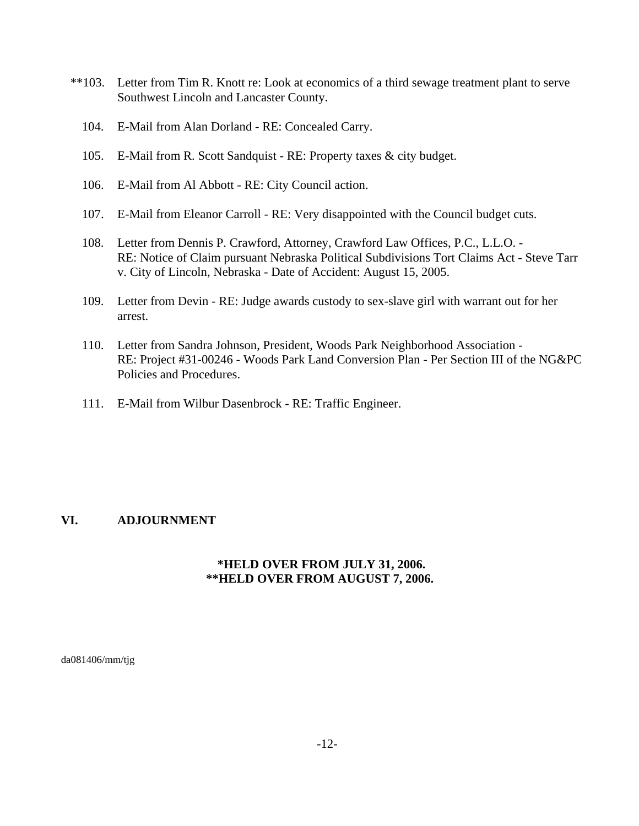- \*\*103. Letter from Tim R. Knott re: Look at economics of a third sewage treatment plant to serve Southwest Lincoln and Lancaster County.
	- 104. E-Mail from Alan Dorland RE: Concealed Carry.
	- 105. E-Mail from R. Scott Sandquist RE: Property taxes & city budget.
	- 106. E-Mail from Al Abbott RE: City Council action.
	- 107. E-Mail from Eleanor Carroll RE: Very disappointed with the Council budget cuts.
	- 108. Letter from Dennis P. Crawford, Attorney, Crawford Law Offices, P.C., L.L.O. RE: Notice of Claim pursuant Nebraska Political Subdivisions Tort Claims Act - Steve Tarr v. City of Lincoln, Nebraska - Date of Accident: August 15, 2005.
	- 109. Letter from Devin RE: Judge awards custody to sex-slave girl with warrant out for her arrest.
	- 110. Letter from Sandra Johnson, President, Woods Park Neighborhood Association RE: Project #31-00246 - Woods Park Land Conversion Plan - Per Section III of the NG&PC Policies and Procedures.
	- 111. E-Mail from Wilbur Dasenbrock RE: Traffic Engineer.

## **VI. ADJOURNMENT**

## **\*HELD OVER FROM JULY 31, 2006. \*\*HELD OVER FROM AUGUST 7, 2006.**

da081406/mm/tjg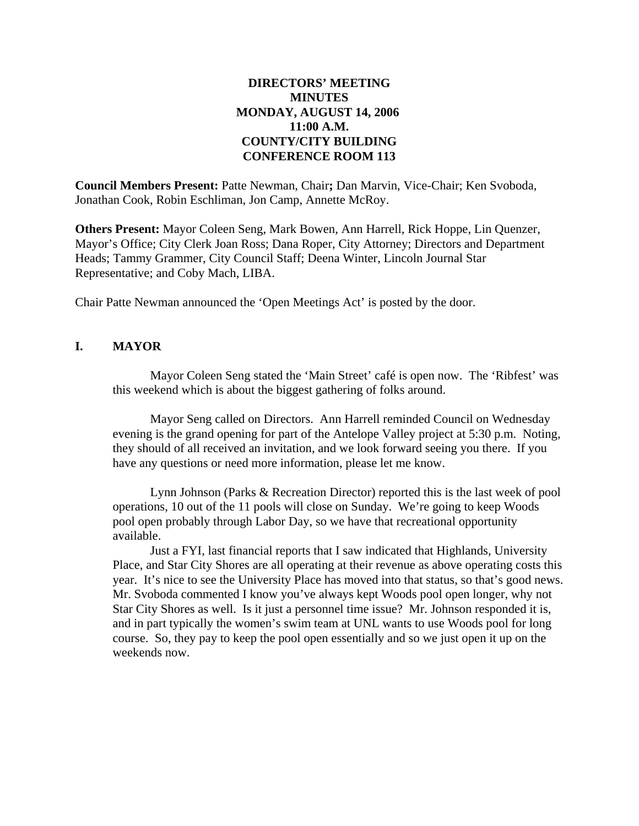## **DIRECTORS' MEETING MINUTES MONDAY, AUGUST 14, 2006 11:00 A.M. COUNTY/CITY BUILDING CONFERENCE ROOM 113**

**Council Members Present:** Patte Newman, Chair**;** Dan Marvin, Vice-Chair; Ken Svoboda, Jonathan Cook, Robin Eschliman, Jon Camp, Annette McRoy.

**Others Present:** Mayor Coleen Seng, Mark Bowen, Ann Harrell, Rick Hoppe, Lin Quenzer, Mayor's Office; City Clerk Joan Ross; Dana Roper, City Attorney; Directors and Department Heads; Tammy Grammer, City Council Staff; Deena Winter, Lincoln Journal Star Representative; and Coby Mach, LIBA.

Chair Patte Newman announced the 'Open Meetings Act' is posted by the door.

## **I. MAYOR**

Mayor Coleen Seng stated the 'Main Street' café is open now. The 'Ribfest' was this weekend which is about the biggest gathering of folks around.

Mayor Seng called on Directors. Ann Harrell reminded Council on Wednesday evening is the grand opening for part of the Antelope Valley project at 5:30 p.m. Noting, they should of all received an invitation, and we look forward seeing you there. If you have any questions or need more information, please let me know.

Lynn Johnson (Parks & Recreation Director) reported this is the last week of pool operations, 10 out of the 11 pools will close on Sunday. We're going to keep Woods pool open probably through Labor Day, so we have that recreational opportunity available.

Just a FYI, last financial reports that I saw indicated that Highlands, University Place, and Star City Shores are all operating at their revenue as above operating costs this year. It's nice to see the University Place has moved into that status, so that's good news. Mr. Svoboda commented I know you've always kept Woods pool open longer, why not Star City Shores as well. Is it just a personnel time issue? Mr. Johnson responded it is, and in part typically the women's swim team at UNL wants to use Woods pool for long course. So, they pay to keep the pool open essentially and so we just open it up on the weekends now.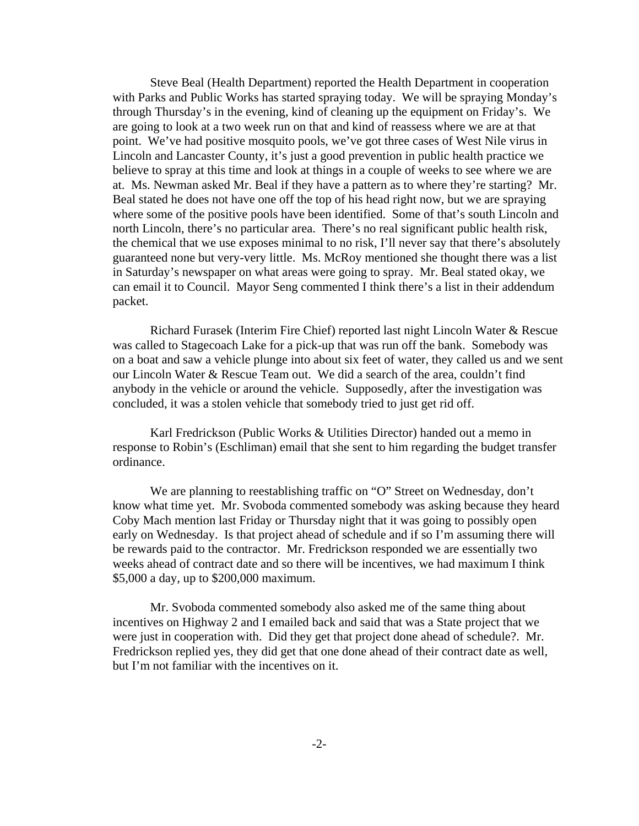Steve Beal (Health Department) reported the Health Department in cooperation with Parks and Public Works has started spraying today. We will be spraying Monday's through Thursday's in the evening, kind of cleaning up the equipment on Friday's. We are going to look at a two week run on that and kind of reassess where we are at that point. We've had positive mosquito pools, we've got three cases of West Nile virus in Lincoln and Lancaster County, it's just a good prevention in public health practice we believe to spray at this time and look at things in a couple of weeks to see where we are at. Ms. Newman asked Mr. Beal if they have a pattern as to where they're starting? Mr. Beal stated he does not have one off the top of his head right now, but we are spraying where some of the positive pools have been identified. Some of that's south Lincoln and north Lincoln, there's no particular area. There's no real significant public health risk, the chemical that we use exposes minimal to no risk, I'll never say that there's absolutely guaranteed none but very-very little. Ms. McRoy mentioned she thought there was a list in Saturday's newspaper on what areas were going to spray. Mr. Beal stated okay, we can email it to Council. Mayor Seng commented I think there's a list in their addendum packet.

Richard Furasek (Interim Fire Chief) reported last night Lincoln Water & Rescue was called to Stagecoach Lake for a pick-up that was run off the bank. Somebody was on a boat and saw a vehicle plunge into about six feet of water, they called us and we sent our Lincoln Water & Rescue Team out. We did a search of the area, couldn't find anybody in the vehicle or around the vehicle. Supposedly, after the investigation was concluded, it was a stolen vehicle that somebody tried to just get rid off.

Karl Fredrickson (Public Works & Utilities Director) handed out a memo in response to Robin's (Eschliman) email that she sent to him regarding the budget transfer ordinance.

We are planning to reestablishing traffic on "O" Street on Wednesday, don't know what time yet. Mr. Svoboda commented somebody was asking because they heard Coby Mach mention last Friday or Thursday night that it was going to possibly open early on Wednesday. Is that project ahead of schedule and if so I'm assuming there will be rewards paid to the contractor. Mr. Fredrickson responded we are essentially two weeks ahead of contract date and so there will be incentives, we had maximum I think \$5,000 a day, up to \$200,000 maximum.

Mr. Svoboda commented somebody also asked me of the same thing about incentives on Highway 2 and I emailed back and said that was a State project that we were just in cooperation with. Did they get that project done ahead of schedule?. Mr. Fredrickson replied yes, they did get that one done ahead of their contract date as well, but I'm not familiar with the incentives on it.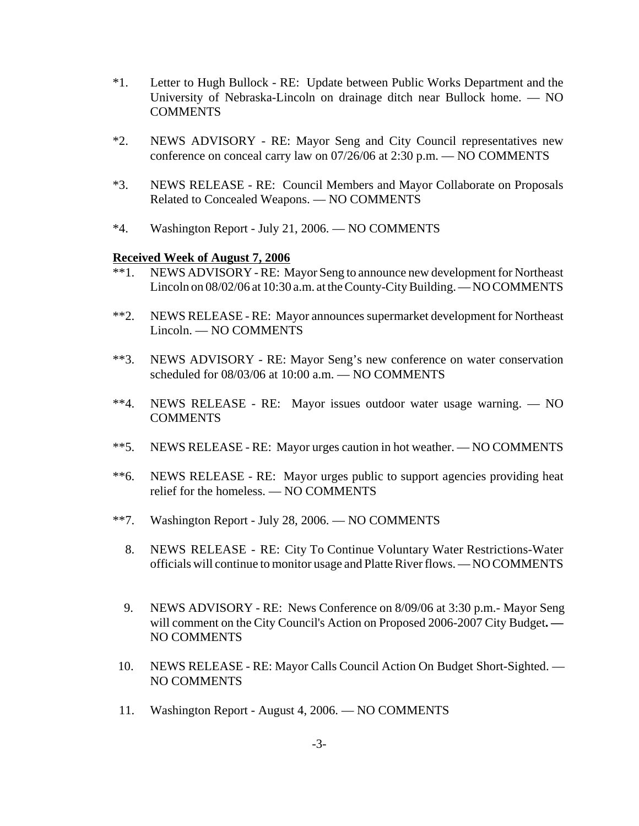- \*1. Letter to Hugh Bullock RE: Update between Public Works Department and the University of Nebraska-Lincoln on drainage ditch near Bullock home. — NO COMMENTS
- \*2. NEWS ADVISORY RE: Mayor Seng and City Council representatives new conference on conceal carry law on 07/26/06 at 2:30 p.m. — NO COMMENTS
- \*3. NEWS RELEASE RE: Council Members and Mayor Collaborate on Proposals Related to Concealed Weapons. — NO COMMENTS
- \*4. Washington Report July 21, 2006. NO COMMENTS

#### **Received Week of August 7, 2006**

- \*\*1. NEWS ADVISORY RE: Mayor Seng to announce new development for Northeast Lincoln on 08/02/06 at 10:30 a.m. at the County-City Building. — NO COMMENTS
- \*\*2. NEWS RELEASE RE: Mayor announces supermarket development for Northeast Lincoln. — NO COMMENTS
- \*\*3. NEWS ADVISORY RE: Mayor Seng's new conference on water conservation scheduled for 08/03/06 at 10:00 a.m. — NO COMMENTS
- \*\*4. NEWS RELEASE RE: Mayor issues outdoor water usage warning. NO **COMMENTS**
- \*\*5. NEWS RELEASE RE: Mayor urges caution in hot weather. NO COMMENTS
- \*\*6. NEWS RELEASE RE: Mayor urges public to support agencies providing heat relief for the homeless. — NO COMMENTS
- \*\*7. Washington Report July 28, 2006. NO COMMENTS
	- 8. NEWS RELEASE RE: City To Continue Voluntary Water Restrictions-Water officials will continue to monitor usage and Platte River flows. — NO COMMENTS
	- 9. NEWS ADVISORY RE: News Conference on 8/09/06 at 3:30 p.m.- Mayor Seng will comment on the City Council's Action on Proposed 2006-2007 City Budget**. —** NO COMMENTS
- 10. NEWS RELEASE RE: Mayor Calls Council Action On Budget Short-Sighted. NO COMMENTS
- 11. Washington Report August 4, 2006. NO COMMENTS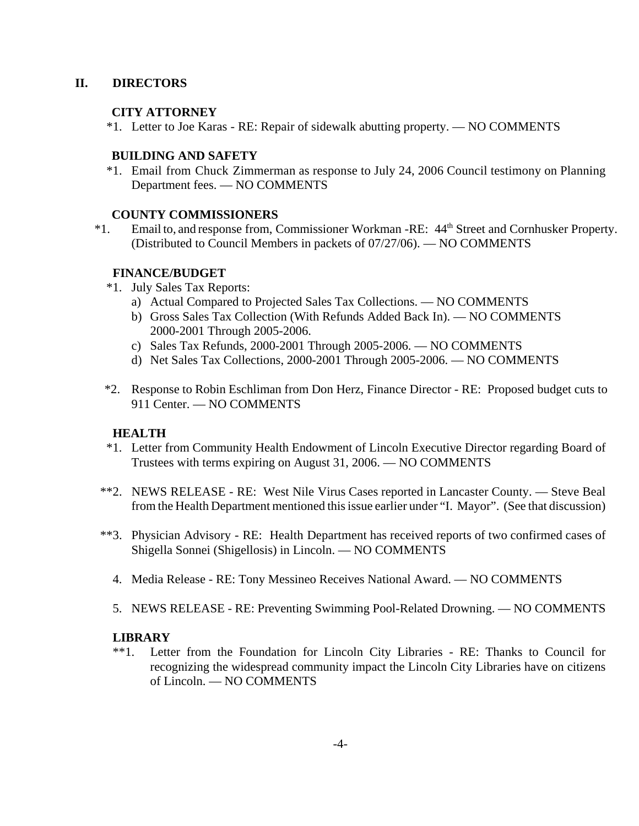## **II. DIRECTORS**

## **CITY ATTORNEY**

\*1. Letter to Joe Karas - RE: Repair of sidewalk abutting property. — NO COMMENTS

## **BUILDING AND SAFETY**

 \*1. Email from Chuck Zimmerman as response to July 24, 2006 Council testimony on Planning Department fees. — NO COMMENTS

## **COUNTY COMMISSIONERS**

 \*1. Email to, and response from, Commissioner Workman -RE: 44th Street and Cornhusker Property. (Distributed to Council Members in packets of 07/27/06). — NO COMMENTS

## **FINANCE/BUDGET**

- \*1. July Sales Tax Reports:
	- a) Actual Compared to Projected Sales Tax Collections. NO COMMENTS
	- b) Gross Sales Tax Collection (With Refunds Added Back In). NO COMMENTS 2000-2001 Through 2005-2006.
	- c) Sales Tax Refunds, 2000-2001 Through 2005-2006. NO COMMENTS
	- d) Net Sales Tax Collections, 2000-2001 Through 2005-2006. NO COMMENTS
- \*2. Response to Robin Eschliman from Don Herz, Finance Director RE: Proposed budget cuts to 911 Center. — NO COMMENTS

## **HEALTH**

- \*1. Letter from Community Health Endowment of Lincoln Executive Director regarding Board of Trustees with terms expiring on August 31, 2006. — NO COMMENTS
- \*\*2. NEWS RELEASE RE: West Nile Virus Cases reported in Lancaster County. Steve Beal from the Health Department mentioned this issue earlier under "I. Mayor". (See that discussion)
- \*\*3. Physician Advisory RE: Health Department has received reports of two confirmed cases of Shigella Sonnei (Shigellosis) in Lincoln. — NO COMMENTS
	- 4. Media Release RE: Tony Messineo Receives National Award. NO COMMENTS
	- 5. NEWS RELEASE RE: Preventing Swimming Pool-Related Drowning. NO COMMENTS

## **LIBRARY**

\*\*1. Letter from the Foundation for Lincoln City Libraries - RE: Thanks to Council for recognizing the widespread community impact the Lincoln City Libraries have on citizens of Lincoln. — NO COMMENTS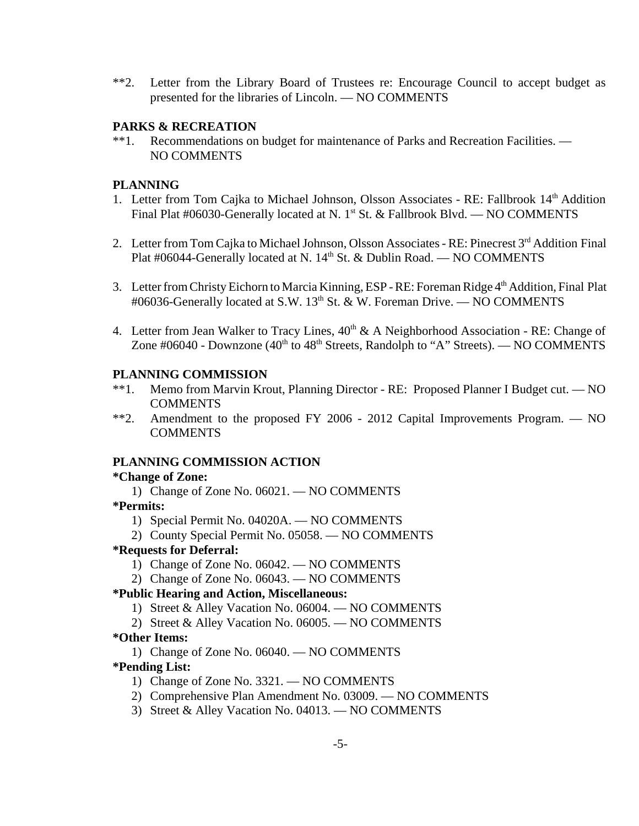\*\*2. Letter from the Library Board of Trustees re: Encourage Council to accept budget as presented for the libraries of Lincoln. — NO COMMENTS

## **PARKS & RECREATION**

\*\*1. Recommendations on budget for maintenance of Parks and Recreation Facilities. — NO COMMENTS

## **PLANNING**

- 1. Letter from Tom Cajka to Michael Johnson, Olsson Associates RE: Fallbrook 14<sup>th</sup> Addition Final Plat #06030-Generally located at N. 1<sup>st</sup> St. & Fallbrook Blvd. — NO COMMENTS
- 2. Letter from Tom Cajka to Michael Johnson, Olsson Associates RE: Pinecrest 3<sup>rd</sup> Addition Final Plat #06044-Generally located at N.  $14<sup>th</sup>$  St. & Dublin Road. — NO COMMENTS
- 3. Letter from Christy Eichorn to Marcia Kinning, ESP RE: Foreman Ridge 4<sup>th</sup> Addition, Final Plat #06036-Generally located at S.W.  $13<sup>th</sup>$  St. & W. Foreman Drive. — NO COMMENTS
- 4. Letter from Jean Walker to Tracy Lines,  $40<sup>th</sup>$  & A Neighborhood Association RE: Change of Zone  $\#06040$  - Downzone (40<sup>th</sup> to 48<sup>th</sup> Streets, Randolph to "A" Streets). — NO COMMENTS

## **PLANNING COMMISSION**

- \*\*1. Memo from Marvin Krout, Planning Director RE: Proposed Planner I Budget cut. NO **COMMENTS**
- \*\*2. Amendment to the proposed FY 2006 2012 Capital Improvements Program. NO **COMMENTS**

## **PLANNING COMMISSION ACTION**

#### **\*Change of Zone:**

1) Change of Zone No. 06021. — NO COMMENTS

#### **\*Permits:**

- 1) Special Permit No. 04020A. NO COMMENTS
- 2) County Special Permit No. 05058. NO COMMENTS

## **\*Requests for Deferral:**

- 1) Change of Zone No. 06042. NO COMMENTS
- 2) Change of Zone No. 06043. NO COMMENTS

#### **\*Public Hearing and Action, Miscellaneous:**

- 1) Street & Alley Vacation No. 06004. NO COMMENTS
- 2) Street & Alley Vacation No. 06005. NO COMMENTS

#### **\*Other Items:**

1) Change of Zone No. 06040. — NO COMMENTS

## **\*Pending List:**

- 1) Change of Zone No. 3321. NO COMMENTS
- 2) Comprehensive Plan Amendment No. 03009. NO COMMENTS
- 3) Street & Alley Vacation No. 04013. NO COMMENTS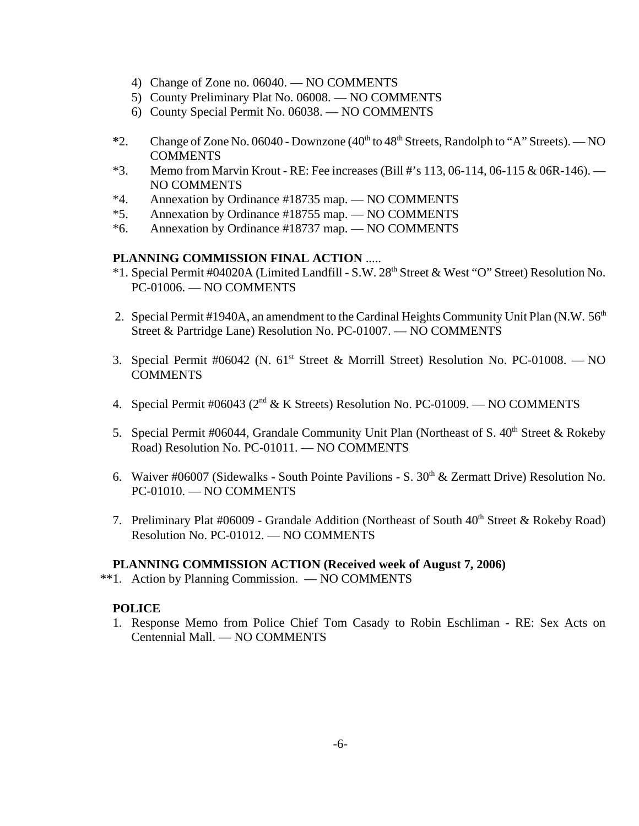- 4) Change of Zone no. 06040. NO COMMENTS
- 5) County Preliminary Plat No. 06008. NO COMMENTS
- 6) County Special Permit No. 06038. NO COMMENTS
- <sup>\*2</sup>. Change of Zone No. 06040 Downzone (40<sup>th</sup> to 48<sup>th</sup> Streets, Randolph to "A" Streets). NO **COMMENTS**
- \*3. Memo from Marvin Krout RE: Fee increases (Bill #'s 113, 06-114, 06-115 & 06R-146).  $-$ NO COMMENTS
- \*4. Annexation by Ordinance #18735 map. NO COMMENTS
- \*5. Annexation by Ordinance #18755 map. NO COMMENTS
- \*6. Annexation by Ordinance #18737 map. NO COMMENTS

## **PLANNING COMMISSION FINAL ACTION** .....

- \*1. Special Permit #04020A (Limited Landfill S.W. 28<sup>th</sup> Street & West "O" Street) Resolution No. PC-01006. — NO COMMENTS
- 2. Special Permit #1940A, an amendment to the Cardinal Heights Community Unit Plan (N.W. 56<sup>th</sup>) Street & Partridge Lane) Resolution No. PC-01007. — NO COMMENTS
- 3. Special Permit #06042 (N. 61<sup>st</sup> Street & Morrill Street) Resolution No. PC-01008. NO **COMMENTS**
- 4. Special Permit #06043 (2nd & K Streets) Resolution No. PC-01009. NO COMMENTS
- 5. Special Permit #06044, Grandale Community Unit Plan (Northeast of S.  $40<sup>th</sup>$  Street & Rokeby Road) Resolution No. PC-01011. — NO COMMENTS
- 6. Waiver #06007 (Sidewalks South Pointe Pavilions S.  $30<sup>th</sup>$  & Zermatt Drive) Resolution No. PC-01010. — NO COMMENTS
- 7. Preliminary Plat #06009 Grandale Addition (Northeast of South 40<sup>th</sup> Street & Rokeby Road) Resolution No. PC-01012. — NO COMMENTS

#### **PLANNING COMMISSION ACTION (Received week of August 7, 2006)**

\*\*1. Action by Planning Commission. — NO COMMENTS

## **POLICE**

1. Response Memo from Police Chief Tom Casady to Robin Eschliman - RE: Sex Acts on Centennial Mall. — NO COMMENTS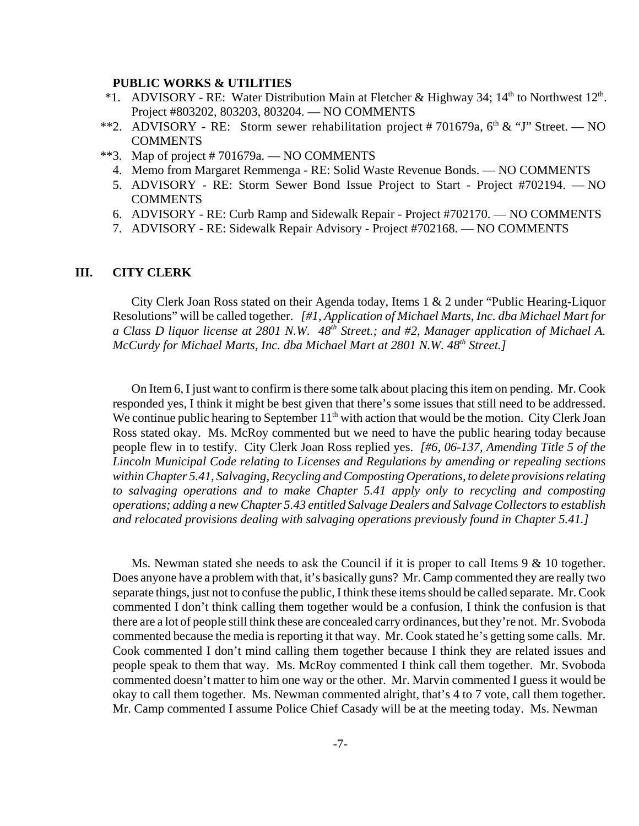#### **PUBLIC WORKS & UTILITIES**

- \*1. ADVISORY RE: Water Distribution Main at Fletcher & Highway 34;  $14<sup>th</sup>$  to Northwest  $12<sup>th</sup>$ . Project #803202, 803203, 803204. — NO COMMENTS
- \*\*2. ADVISORY RE: Storm sewer rehabilitation project #701679a,  $6<sup>th</sup> \& 'J'$  Street. NO COMMENTS
- \*\*3. Map of project # 701679a. NO COMMENTS
	- 4. Memo from Margaret Remmenga RE: Solid Waste Revenue Bonds. NO COMMENTS
	- 5. ADVISORY RE: Storm Sewer Bond Issue Project to Start Project #702194. NO COMMENTS
	- 6. ADVISORY RE: Curb Ramp and Sidewalk Repair Project #702170. NO COMMENTS
	- 7. ADVISORY RE: Sidewalk Repair Advisory Project #702168. NO COMMENTS

#### **III. CITY CLERK**

City Clerk Joan Ross stated on their Agenda today, Items 1 & 2 under "Public Hearing-Liquor Resolutions" will be called together. *[#1, Application of Michael Marts, Inc. dba Michael Mart for a Class D liquor license at 2801 N.W. 48th Street.; and #2, Manager application of Michael A. McCurdy for Michael Marts, Inc. dba Michael Mart at 2801 N.W. 48<sup>th</sup> Street.]* 

On Item 6, I just want to confirm is there some talk about placing this item on pending. Mr. Cook responded yes, I think it might be best given that there's some issues that still need to be addressed. We continue public hearing to September  $11<sup>th</sup>$  with action that would be the motion. City Clerk Joan Ross stated okay. Ms. McRoy commented but we need to have the public hearing today because people flew in to testify. City Clerk Joan Ross replied yes. *[#6, 06-137, Amending Title 5 of the Lincoln Municipal Code relating to Licenses and Regulations by amending or repealing sections within Chapter 5.41, Salvaging, Recycling and Composting Operations, to delete provisions relating to salvaging operations and to make Chapter 5.41 apply only to recycling and composting operations; adding a new Chapter 5.43 entitled Salvage Dealers and Salvage Collectors to establish and relocated provisions dealing with salvaging operations previously found in Chapter 5.41.]* 

Ms. Newman stated she needs to ask the Council if it is proper to call Items  $9 < 10$  together. Does anyone have a problem with that, it's basically guns? Mr. Camp commented they are really two separate things, just not to confuse the public, I think these items should be called separate. Mr. Cook commented I don't think calling them together would be a confusion, I think the confusion is that there are a lot of people still think these are concealed carry ordinances, but they're not. Mr. Svoboda commented because the media is reporting it that way. Mr. Cook stated he's getting some calls. Mr. Cook commented I don't mind calling them together because I think they are related issues and people speak to them that way. Ms. McRoy commented I think call them together. Mr. Svoboda commented doesn't matter to him one way or the other. Mr. Marvin commented I guess it would be okay to call them together. Ms. Newman commented alright, that's 4 to 7 vote, call them together. Mr. Camp commented I assume Police Chief Casady will be at the meeting today. Ms. Newman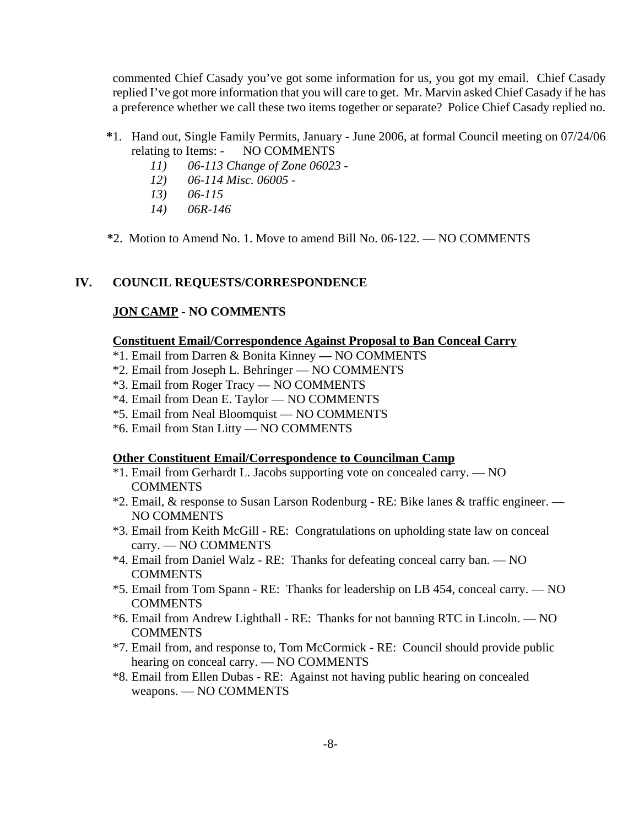commented Chief Casady you've got some information for us, you got my email. Chief Casady replied I've got more information that you will care to get. Mr. Marvin asked Chief Casady if he has a preference whether we call these two items together or separate? Police Chief Casady replied no.

- **\***1. Hand out, Single Family Permits, January June 2006, at formal Council meeting on 07/24/06 relating to Items: - NO COMMENTS
	- *11) 06-113 Change of Zone 06023 -*
	- *12) 06-114 Misc. 06005 -*
	- *13) 06-115*
	- *14) 06R-146*
- **\***2. Motion to Amend No. 1. Move to amend Bill No. 06-122. NO COMMENTS

#### **IV. COUNCIL REQUESTS/CORRESPONDENCE**

#### **JON CAMP** - **NO COMMENTS**

#### **Constituent Email/Correspondence Against Proposal to Ban Conceal Carry**

- \*1. Email from Darren & Bonita KinneyNO COMMENTS
- \*2. Email from Joseph L. Behringer NO COMMENTS
- \*3. Email from Roger Tracy NO COMMENTS
- \*4. Email from Dean E. Taylor NO COMMENTS
- \*5. Email from Neal Bloomquist NO COMMENTS
- \*6. Email from Stan Litty NO COMMENTS

#### **Other Constituent Email/Correspondence to Councilman Camp**

- \*1. Email from Gerhardt L. Jacobs supporting vote on concealed carry. NO **COMMENTS**
- \*2. Email, & response to Susan Larson Rodenburg RE: Bike lanes & traffic engineer. NO COMMENTS
- \*3. Email from Keith McGill RE: Congratulations on upholding state law on conceal carry. — NO COMMENTS
- \*4. Email from Daniel Walz RE: Thanks for defeating conceal carry ban. NO **COMMENTS**
- \*5. Email from Tom Spann RE: Thanks for leadership on LB 454, conceal carry. NO **COMMENTS**
- \*6. Email from Andrew Lighthall RE: Thanks for not banning RTC in Lincoln. NO **COMMENTS**
- \*7. Email from, and response to, Tom McCormick RE: Council should provide public hearing on conceal carry. — NO COMMENTS
- \*8. Email from Ellen Dubas RE: Against not having public hearing on concealed weapons. — NO COMMENTS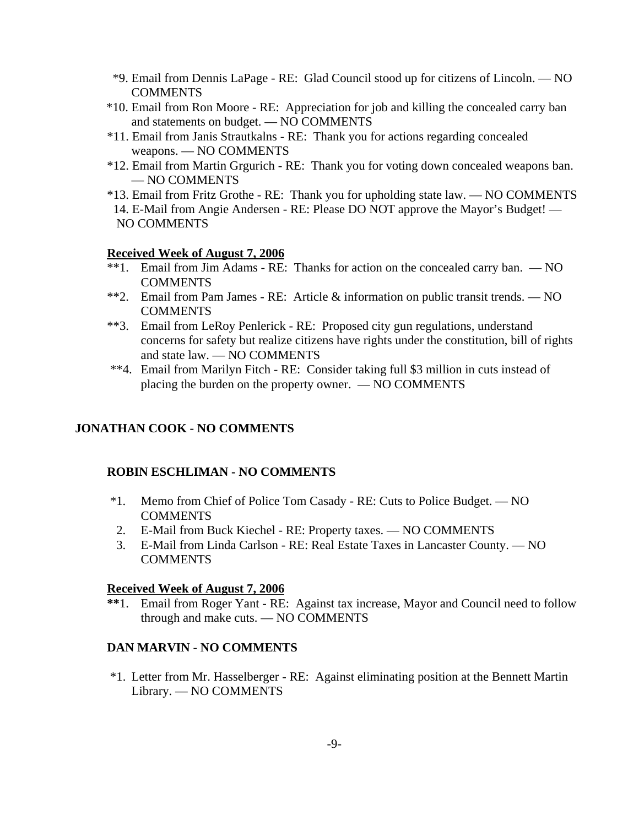- \*9. Email from Dennis LaPage RE: Glad Council stood up for citizens of Lincoln. NO **COMMENTS**
- \*10. Email from Ron Moore RE: Appreciation for job and killing the concealed carry ban and statements on budget. — NO COMMENTS
- \*11. Email from Janis Strautkalns RE: Thank you for actions regarding concealed weapons. — NO COMMENTS
- \*12. Email from Martin Grgurich RE: Thank you for voting down concealed weapons ban. — NO COMMENTS
- \*13. Email from Fritz Grothe RE: Thank you for upholding state law. NO COMMENTS 14. E-Mail from Angie Andersen - RE: Please DO NOT approve the Mayor's Budget! — NO COMMENTS

## **Received Week of August 7, 2006**

- \*\*1. Email from Jim Adams RE: Thanks for action on the concealed carry ban. NO **COMMENTS**
- \*\*2. Email from Pam James RE: Article & information on public transit trends. NO COMMENTS
- \*\*3. Email from LeRoy Penlerick RE: Proposed city gun regulations, understand concerns for safety but realize citizens have rights under the constitution, bill of rights and state law. — NO COMMENTS
- \*\*4. Email from Marilyn Fitch RE: Consider taking full \$3 million in cuts instead of placing the burden on the property owner. — NO COMMENTS

## **JONATHAN COOK - NO COMMENTS**

#### **ROBIN ESCHLIMAN - NO COMMENTS**

- \*1. Memo from Chief of Police Tom Casady RE: Cuts to Police Budget. NO **COMMENTS**
- 2. E-Mail from Buck Kiechel RE: Property taxes. NO COMMENTS
- 3. E-Mail from Linda Carlson RE: Real Estate Taxes in Lancaster County. NO COMMENTS

#### **Received Week of August 7, 2006**

**\*\***1. Email from Roger Yant - RE: Against tax increase, Mayor and Council need to follow through and make cuts. — NO COMMENTS

## **DAN MARVIN** - **NO COMMENTS**

 \*1. Letter from Mr. Hasselberger - RE: Against eliminating position at the Bennett Martin Library. — NO COMMENTS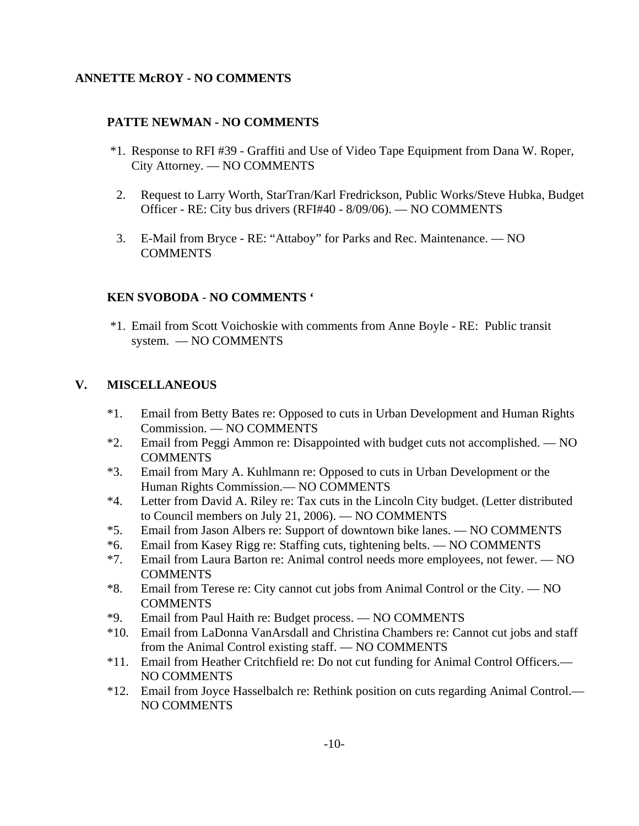# **ANNETTE McROY - NO COMMENTS**

## **PATTE NEWMAN - NO COMMENTS**

- \*1. Response to RFI #39 Graffiti and Use of Video Tape Equipment from Dana W. Roper, City Attorney. — NO COMMENTS
- 2. Request to Larry Worth, StarTran/Karl Fredrickson, Public Works/Steve Hubka, Budget Officer - RE: City bus drivers (RFI#40 - 8/09/06). — NO COMMENTS
- 3. E-Mail from Bryce RE: "Attaboy" for Parks and Rec. Maintenance. NO **COMMENTS**

## **KEN SVOBODA** - **NO COMMENTS '**

 \*1. Email from Scott Voichoskie with comments from Anne Boyle - RE: Public transit system. — NO COMMENTS

# **V. MISCELLANEOUS**

- \*1. Email from Betty Bates re: Opposed to cuts in Urban Development and Human Rights Commission. — NO COMMENTS
- \*2. Email from Peggi Ammon re: Disappointed with budget cuts not accomplished. NO COMMENTS
- \*3. Email from Mary A. Kuhlmann re: Opposed to cuts in Urban Development or the Human Rights Commission.— NO COMMENTS
- \*4. Letter from David A. Riley re: Tax cuts in the Lincoln City budget. (Letter distributed to Council members on July 21, 2006). — NO COMMENTS
- \*5. Email from Jason Albers re: Support of downtown bike lanes. NO COMMENTS
- \*6. Email from Kasey Rigg re: Staffing cuts, tightening belts. NO COMMENTS
- \*7. Email from Laura Barton re: Animal control needs more employees, not fewer. NO **COMMENTS**
- \*8. Email from Terese re: City cannot cut jobs from Animal Control or the City. NO **COMMENTS**
- \*9. Email from Paul Haith re: Budget process. NO COMMENTS
- \*10. Email from LaDonna VanArsdall and Christina Chambers re: Cannot cut jobs and staff from the Animal Control existing staff. — NO COMMENTS
- \*11. Email from Heather Critchfield re: Do not cut funding for Animal Control Officers.— NO COMMENTS
- \*12. Email from Joyce Hasselbalch re: Rethink position on cuts regarding Animal Control.— NO COMMENTS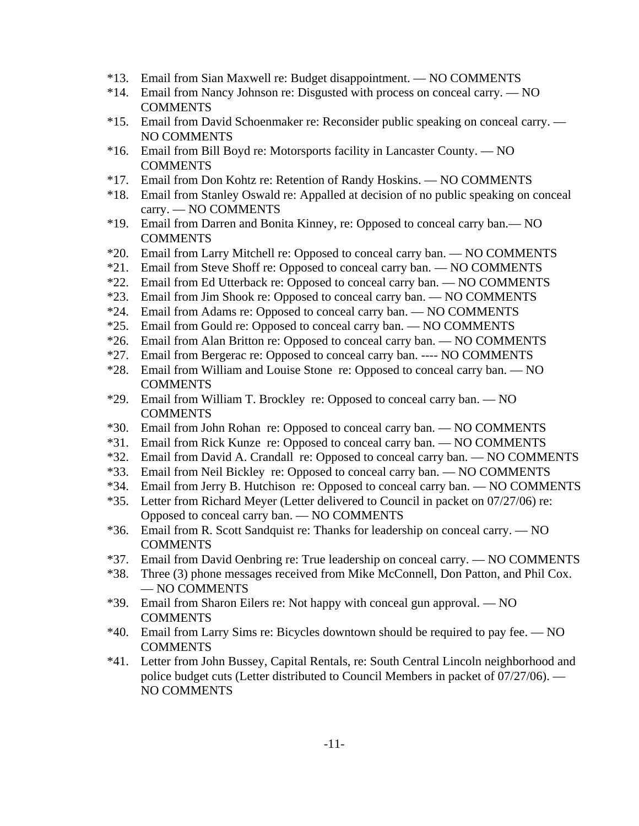- \*13. Email from Sian Maxwell re: Budget disappointment. NO COMMENTS
- \*14. Email from Nancy Johnson re: Disgusted with process on conceal carry. NO **COMMENTS**
- \*15. Email from David Schoenmaker re: Reconsider public speaking on conceal carry. NO COMMENTS
- \*16. Email from Bill Boyd re: Motorsports facility in Lancaster County. NO **COMMENTS**
- \*17. Email from Don Kohtz re: Retention of Randy Hoskins. NO COMMENTS
- \*18. Email from Stanley Oswald re: Appalled at decision of no public speaking on conceal carry. — NO COMMENTS
- \*19. Email from Darren and Bonita Kinney, re: Opposed to conceal carry ban.— NO **COMMENTS**
- \*20. Email from Larry Mitchell re: Opposed to conceal carry ban. NO COMMENTS
- \*21. Email from Steve Shoff re: Opposed to conceal carry ban. NO COMMENTS
- \*22. Email from Ed Utterback re: Opposed to conceal carry ban. NO COMMENTS
- \*23. Email from Jim Shook re: Opposed to conceal carry ban. NO COMMENTS
- \*24. Email from Adams re: Opposed to conceal carry ban. NO COMMENTS
- \*25. Email from Gould re: Opposed to conceal carry ban. NO COMMENTS
- \*26. Email from Alan Britton re: Opposed to conceal carry ban. NO COMMENTS
- \*27. Email from Bergerac re: Opposed to conceal carry ban. ---- NO COMMENTS
- \*28. Email from William and Louise Stone re: Opposed to conceal carry ban. NO **COMMENTS**
- \*29. Email from William T. Brockley re: Opposed to conceal carry ban. NO **COMMENTS**
- \*30. Email from John Rohan re: Opposed to conceal carry ban. NO COMMENTS
- \*31. Email from Rick Kunze re: Opposed to conceal carry ban. NO COMMENTS
- \*32. Email from David A. Crandall re: Opposed to conceal carry ban. NO COMMENTS
- \*33. Email from Neil Bickley re: Opposed to conceal carry ban. NO COMMENTS
- \*34. Email from Jerry B. Hutchison re: Opposed to conceal carry ban. NO COMMENTS
- \*35. Letter from Richard Meyer (Letter delivered to Council in packet on 07/27/06) re: Opposed to conceal carry ban. — NO COMMENTS
- \*36. Email from R. Scott Sandquist re: Thanks for leadership on conceal carry. NO **COMMENTS**
- \*37. Email from David Oenbring re: True leadership on conceal carry. NO COMMENTS
- \*38. Three (3) phone messages received from Mike McConnell, Don Patton, and Phil Cox. — NO COMMENTS
- \*39. Email from Sharon Eilers re: Not happy with conceal gun approval. NO **COMMENTS**
- \*40. Email from Larry Sims re: Bicycles downtown should be required to pay fee. NO COMMENTS
- \*41. Letter from John Bussey, Capital Rentals, re: South Central Lincoln neighborhood and police budget cuts (Letter distributed to Council Members in packet of 07/27/06). — NO COMMENTS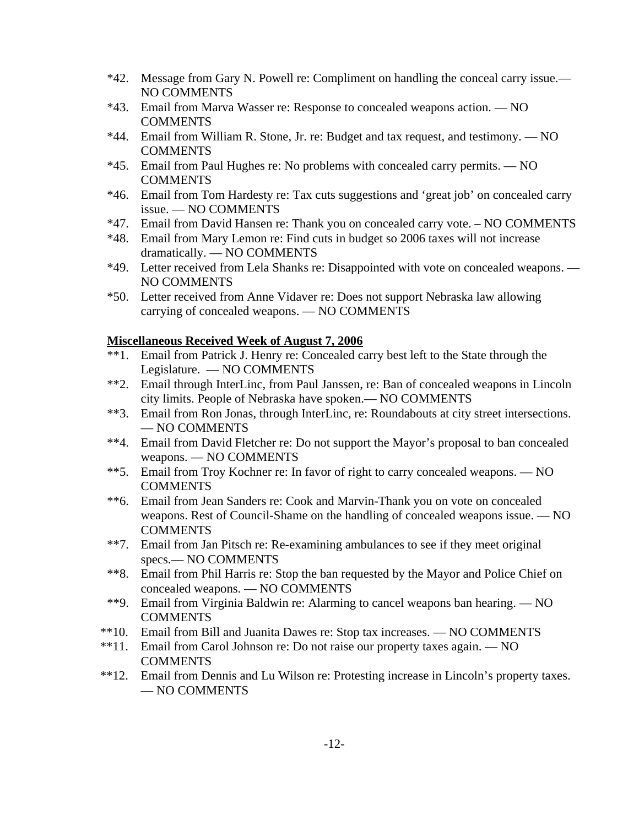- \*42. Message from Gary N. Powell re: Compliment on handling the conceal carry issue.— NO COMMENTS
- \*43. Email from Marva Wasser re: Response to concealed weapons action. NO **COMMENTS**
- \*44. Email from William R. Stone, Jr. re: Budget and tax request, and testimony. NO **COMMENTS**
- \*45. Email from Paul Hughes re: No problems with concealed carry permits. NO COMMENTS
- \*46. Email from Tom Hardesty re: Tax cuts suggestions and 'great job' on concealed carry issue. — NO COMMENTS
- \*47. Email from David Hansen re: Thank you on concealed carry vote. NO COMMENTS
- \*48. Email from Mary Lemon re: Find cuts in budget so 2006 taxes will not increase dramatically. — NO COMMENTS
- \*49. Letter received from Lela Shanks re: Disappointed with vote on concealed weapons. NO COMMENTS
- \*50. Letter received from Anne Vidaver re: Does not support Nebraska law allowing carrying of concealed weapons. — NO COMMENTS

## **Miscellaneous Received Week of August 7, 2006**

- \*\*1. Email from Patrick J. Henry re: Concealed carry best left to the State through the Legislature. — NO COMMENTS
- \*\*2. Email through InterLinc, from Paul Janssen, re: Ban of concealed weapons in Lincoln city limits. People of Nebraska have spoken.— NO COMMENTS
- \*\*3. Email from Ron Jonas, through InterLinc, re: Roundabouts at city street intersections. — NO COMMENTS
- \*\*4. Email from David Fletcher re: Do not support the Mayor's proposal to ban concealed weapons. — NO COMMENTS
- \*\*5. Email from Troy Kochner re: In favor of right to carry concealed weapons. NO **COMMENTS**
- \*\*6. Email from Jean Sanders re: Cook and Marvin-Thank you on vote on concealed weapons. Rest of Council-Shame on the handling of concealed weapons issue. — NO **COMMENTS**
- \*\*7. Email from Jan Pitsch re: Re-examining ambulances to see if they meet original specs.— NO COMMENTS
- \*\*8. Email from Phil Harris re: Stop the ban requested by the Mayor and Police Chief on concealed weapons. — NO COMMENTS
- \*\*9. Email from Virginia Baldwin re: Alarming to cancel weapons ban hearing. NO **COMMENTS**
- \*\*10. Email from Bill and Juanita Dawes re: Stop tax increases. NO COMMENTS
- \*\*11. Email from Carol Johnson re: Do not raise our property taxes again. NO COMMENTS
- \*\*12. Email from Dennis and Lu Wilson re: Protesting increase in Lincoln's property taxes. — NO COMMENTS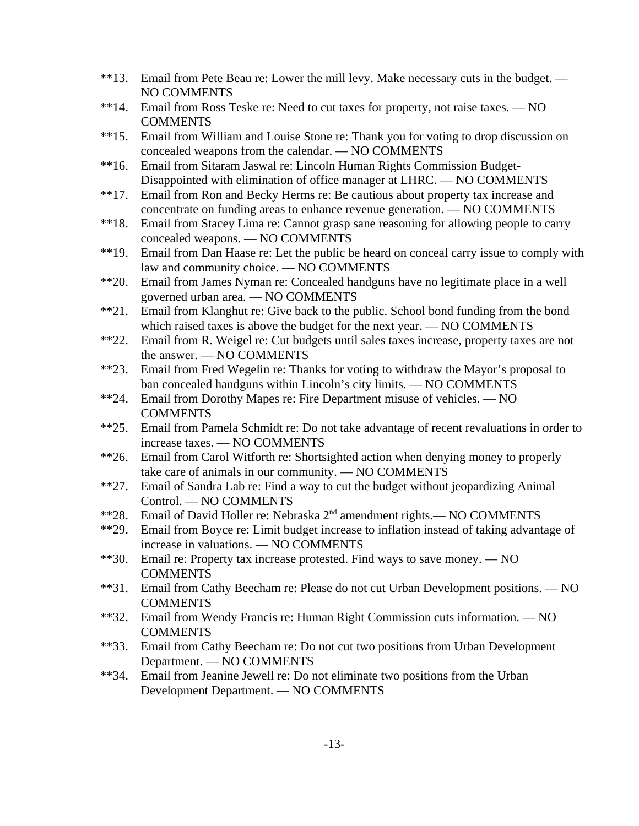- \*\*13. Email from Pete Beau re: Lower the mill levy. Make necessary cuts in the budget. NO COMMENTS
- \*\*14. Email from Ross Teske re: Need to cut taxes for property, not raise taxes. NO **COMMENTS**
- \*\*15. Email from William and Louise Stone re: Thank you for voting to drop discussion on concealed weapons from the calendar. — NO COMMENTS
- \*\*16. Email from Sitaram Jaswal re: Lincoln Human Rights Commission Budget-Disappointed with elimination of office manager at LHRC. — NO COMMENTS
- \*\*17. Email from Ron and Becky Herms re: Be cautious about property tax increase and concentrate on funding areas to enhance revenue generation. — NO COMMENTS
- \*\*18. Email from Stacey Lima re: Cannot grasp sane reasoning for allowing people to carry concealed weapons. — NO COMMENTS
- \*\*19. Email from Dan Haase re: Let the public be heard on conceal carry issue to comply with law and community choice. — NO COMMENTS
- \*\*20. Email from James Nyman re: Concealed handguns have no legitimate place in a well governed urban area. — NO COMMENTS
- \*\*21. Email from Klanghut re: Give back to the public. School bond funding from the bond which raised taxes is above the budget for the next year. — NO COMMENTS
- \*\*22. Email from R. Weigel re: Cut budgets until sales taxes increase, property taxes are not the answer. — NO COMMENTS
- \*\*23. Email from Fred Wegelin re: Thanks for voting to withdraw the Mayor's proposal to ban concealed handguns within Lincoln's city limits. — NO COMMENTS
- \*\*24. Email from Dorothy Mapes re: Fire Department misuse of vehicles. NO **COMMENTS**
- \*\*25. Email from Pamela Schmidt re: Do not take advantage of recent revaluations in order to increase taxes. — NO COMMENTS
- \*\*26. Email from Carol Witforth re: Shortsighted action when denying money to properly take care of animals in our community. — NO COMMENTS
- \*\*27. Email of Sandra Lab re: Find a way to cut the budget without jeopardizing Animal Control. — NO COMMENTS
- \*\*28. Email of David Holler re: Nebraska 2nd amendment rights.— NO COMMENTS
- \*\*29. Email from Boyce re: Limit budget increase to inflation instead of taking advantage of increase in valuations. — NO COMMENTS
- \*\*30. Email re: Property tax increase protested. Find ways to save money. NO **COMMENTS**
- \*\*31. Email from Cathy Beecham re: Please do not cut Urban Development positions. NO **COMMENTS**
- \*\*32. Email from Wendy Francis re: Human Right Commission cuts information. NO **COMMENTS**
- \*\*33. Email from Cathy Beecham re: Do not cut two positions from Urban Development Department. — NO COMMENTS
- \*\*34. Email from Jeanine Jewell re: Do not eliminate two positions from the Urban Development Department. — NO COMMENTS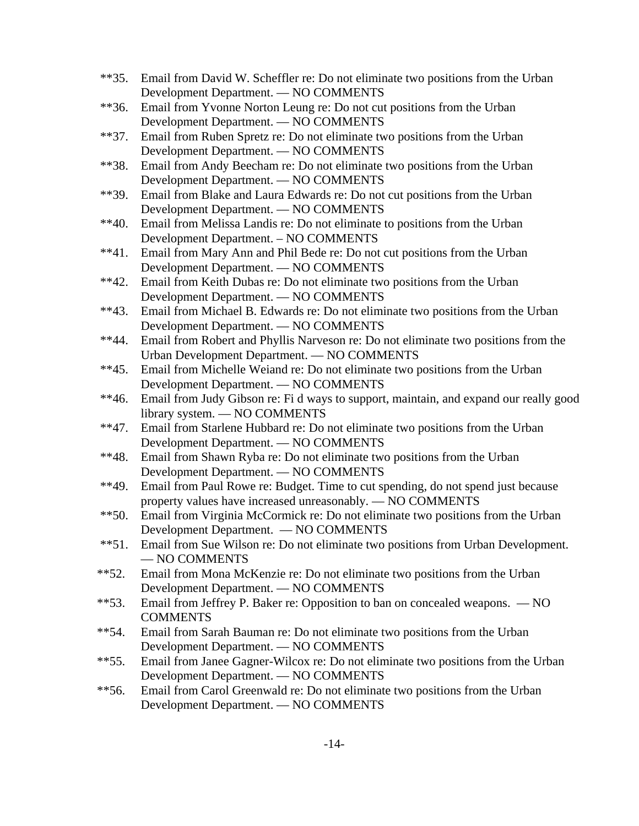- \*\*35. Email from David W. Scheffler re: Do not eliminate two positions from the Urban Development Department. — NO COMMENTS
- \*\*36. Email from Yvonne Norton Leung re: Do not cut positions from the Urban Development Department. — NO COMMENTS
- \*\*37. Email from Ruben Spretz re: Do not eliminate two positions from the Urban Development Department. — NO COMMENTS
- \*\*38. Email from Andy Beecham re: Do not eliminate two positions from the Urban Development Department. — NO COMMENTS
- \*\*39. Email from Blake and Laura Edwards re: Do not cut positions from the Urban Development Department. — NO COMMENTS
- \*\*40. Email from Melissa Landis re: Do not eliminate to positions from the Urban Development Department. – NO COMMENTS
- \*\*41. Email from Mary Ann and Phil Bede re: Do not cut positions from the Urban Development Department. — NO COMMENTS
- \*\*42. Email from Keith Dubas re: Do not eliminate two positions from the Urban Development Department. — NO COMMENTS
- \*\*43. Email from Michael B. Edwards re: Do not eliminate two positions from the Urban Development Department. — NO COMMENTS
- \*\*44. Email from Robert and Phyllis Narveson re: Do not eliminate two positions from the Urban Development Department. — NO COMMENTS
- \*\*45. Email from Michelle Weiand re: Do not eliminate two positions from the Urban Development Department. — NO COMMENTS
- \*\*46. Email from Judy Gibson re: Fi d ways to support, maintain, and expand our really good library system. — NO COMMENTS
- \*\*47. Email from Starlene Hubbard re: Do not eliminate two positions from the Urban Development Department. — NO COMMENTS
- \*\*48. Email from Shawn Ryba re: Do not eliminate two positions from the Urban Development Department. — NO COMMENTS
- \*\*49. Email from Paul Rowe re: Budget. Time to cut spending, do not spend just because property values have increased unreasonably. — NO COMMENTS
- \*\*50. Email from Virginia McCormick re: Do not eliminate two positions from the Urban Development Department. — NO COMMENTS
- \*\*51. Email from Sue Wilson re: Do not eliminate two positions from Urban Development. — NO COMMENTS
- \*\*52. Email from Mona McKenzie re: Do not eliminate two positions from the Urban Development Department. — NO COMMENTS
- \*\*53. Email from Jeffrey P. Baker re: Opposition to ban on concealed weapons. NO COMMENTS
- \*\*54. Email from Sarah Bauman re: Do not eliminate two positions from the Urban Development Department. — NO COMMENTS
- \*\*55. Email from Janee Gagner-Wilcox re: Do not eliminate two positions from the Urban Development Department. — NO COMMENTS
- \*\*56. Email from Carol Greenwald re: Do not eliminate two positions from the Urban Development Department. — NO COMMENTS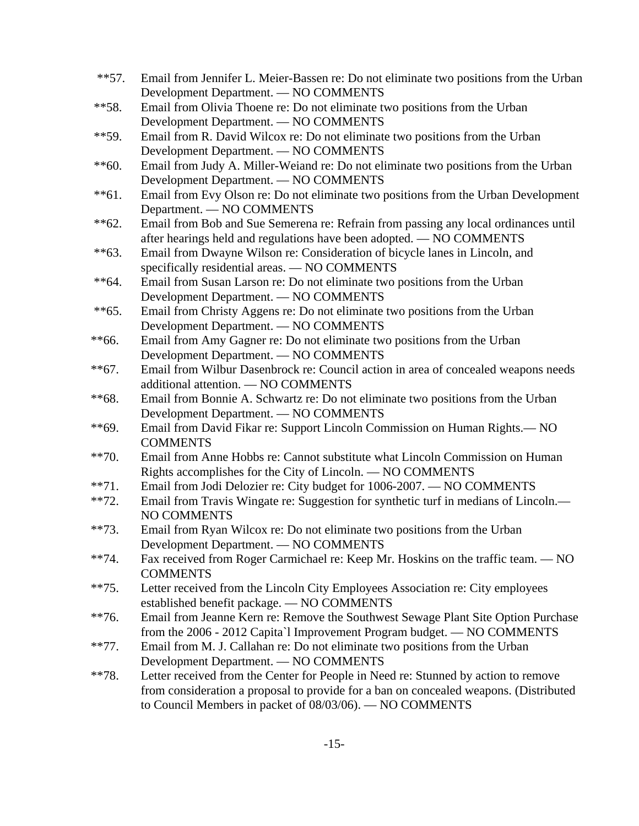- \*\*57. Email from Jennifer L. Meier-Bassen re: Do not eliminate two positions from the Urban Development Department. — NO COMMENTS
- \*\*58. Email from Olivia Thoene re: Do not eliminate two positions from the Urban Development Department. — NO COMMENTS
- \*\*59. Email from R. David Wilcox re: Do not eliminate two positions from the Urban Development Department. — NO COMMENTS
- \*\*60. Email from Judy A. Miller-Weiand re: Do not eliminate two positions from the Urban Development Department. — NO COMMENTS
- \*\*61. Email from Evy Olson re: Do not eliminate two positions from the Urban Development Department. — NO COMMENTS
- \*\*62. Email from Bob and Sue Semerena re: Refrain from passing any local ordinances until after hearings held and regulations have been adopted. — NO COMMENTS
- \*\*63. Email from Dwayne Wilson re: Consideration of bicycle lanes in Lincoln, and specifically residential areas. — NO COMMENTS
- \*\*64. Email from Susan Larson re: Do not eliminate two positions from the Urban Development Department. — NO COMMENTS
- \*\*65. Email from Christy Aggens re: Do not eliminate two positions from the Urban Development Department. — NO COMMENTS
- \*\*66. Email from Amy Gagner re: Do not eliminate two positions from the Urban Development Department. — NO COMMENTS
- \*\*67. Email from Wilbur Dasenbrock re: Council action in area of concealed weapons needs additional attention. — NO COMMENTS
- \*\*68. Email from Bonnie A. Schwartz re: Do not eliminate two positions from the Urban Development Department. — NO COMMENTS
- \*\*69. Email from David Fikar re: Support Lincoln Commission on Human Rights.— NO **COMMENTS**
- \*\*70. Email from Anne Hobbs re: Cannot substitute what Lincoln Commission on Human Rights accomplishes for the City of Lincoln. — NO COMMENTS
- \*\*71. Email from Jodi Delozier re: City budget for 1006-2007. NO COMMENTS
- \*\*72. Email from Travis Wingate re: Suggestion for synthetic turf in medians of Lincoln.— NO COMMENTS
- \*\*73. Email from Ryan Wilcox re: Do not eliminate two positions from the Urban Development Department. — NO COMMENTS
- \*\*74. Fax received from Roger Carmichael re: Keep Mr. Hoskins on the traffic team. NO **COMMENTS**
- \*\*75. Letter received from the Lincoln City Employees Association re: City employees established benefit package. — NO COMMENTS
- \*\*76. Email from Jeanne Kern re: Remove the Southwest Sewage Plant Site Option Purchase from the 2006 - 2012 Capita`l Improvement Program budget. — NO COMMENTS
- \*\*77. Email from M. J. Callahan re: Do not eliminate two positions from the Urban Development Department. — NO COMMENTS
- \*\*78. Letter received from the Center for People in Need re: Stunned by action to remove from consideration a proposal to provide for a ban on concealed weapons. (Distributed to Council Members in packet of 08/03/06). — NO COMMENTS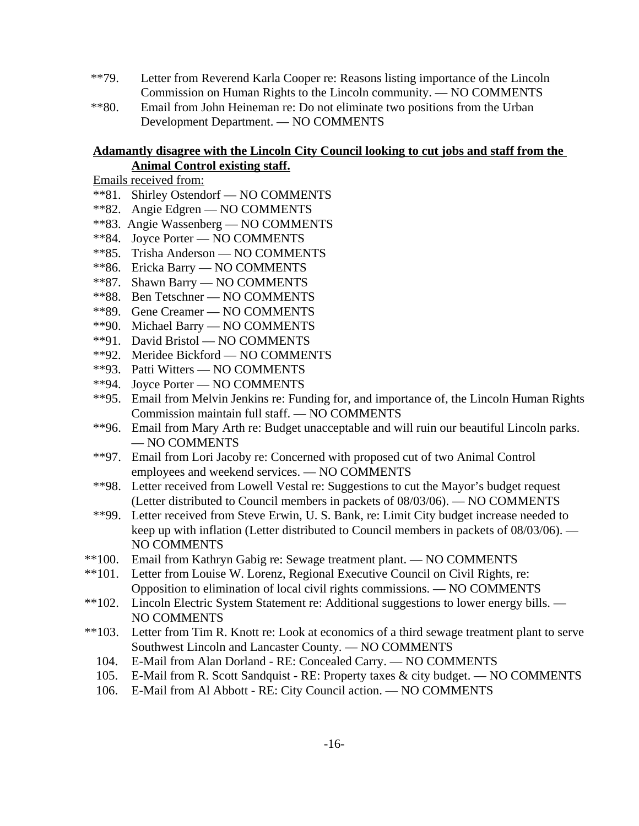- \*\*79. Letter from Reverend Karla Cooper re: Reasons listing importance of the Lincoln Commission on Human Rights to the Lincoln community. — NO COMMENTS
- \*\*80. Email from John Heineman re: Do not eliminate two positions from the Urban Development Department. — NO COMMENTS

## **Adamantly disagree with the Lincoln City Council looking to cut jobs and staff from the Animal Control existing staff.**

- Emails received from:
- \*\*81. Shirley Ostendorf NO COMMENTS
- \*\*82. Angie Edgren NO COMMENTS
- \*\*83. Angie Wassenberg NO COMMENTS
- \*\*84. Joyce Porter NO COMMENTS
- \*\*85. Trisha Anderson NO COMMENTS
- \*\*86. Ericka Barry NO COMMENTS
- \*\*87. Shawn Barry NO COMMENTS
- \*\*88. Ben Tetschner NO COMMENTS
- \*\*89. Gene Creamer NO COMMENTS
- \*\*90. Michael Barry NO COMMENTS
- \*\*91. David Bristol NO COMMENTS
- \*\*92. Meridee Bickford NO COMMENTS
- \*\*93. Patti Witters NO COMMENTS
- \*\*94. Joyce Porter NO COMMENTS
- \*\*95. Email from Melvin Jenkins re: Funding for, and importance of, the Lincoln Human Rights Commission maintain full staff. — NO COMMENTS
- \*\*96. Email from Mary Arth re: Budget unacceptable and will ruin our beautiful Lincoln parks. — NO COMMENTS
- \*\*97. Email from Lori Jacoby re: Concerned with proposed cut of two Animal Control employees and weekend services. — NO COMMENTS
- \*\*98. Letter received from Lowell Vestal re: Suggestions to cut the Mayor's budget request (Letter distributed to Council members in packets of 08/03/06). — NO COMMENTS
- \*\*99. Letter received from Steve Erwin, U. S. Bank, re: Limit City budget increase needed to keep up with inflation (Letter distributed to Council members in packets of 08/03/06). — NO COMMENTS
- \*\*100. Email from Kathryn Gabig re: Sewage treatment plant. NO COMMENTS
- \*\*101. Letter from Louise W. Lorenz, Regional Executive Council on Civil Rights, re: Opposition to elimination of local civil rights commissions. — NO COMMENTS
- \*\*102. Lincoln Electric System Statement re: Additional suggestions to lower energy bills. NO COMMENTS
- \*\*103. Letter from Tim R. Knott re: Look at economics of a third sewage treatment plant to serve Southwest Lincoln and Lancaster County. — NO COMMENTS
	- 104. E-Mail from Alan Dorland RE: Concealed Carry. NO COMMENTS
	- 105. E-Mail from R. Scott Sandquist RE: Property taxes & city budget. NO COMMENTS
	- 106. E-Mail from Al Abbott RE: City Council action. NO COMMENTS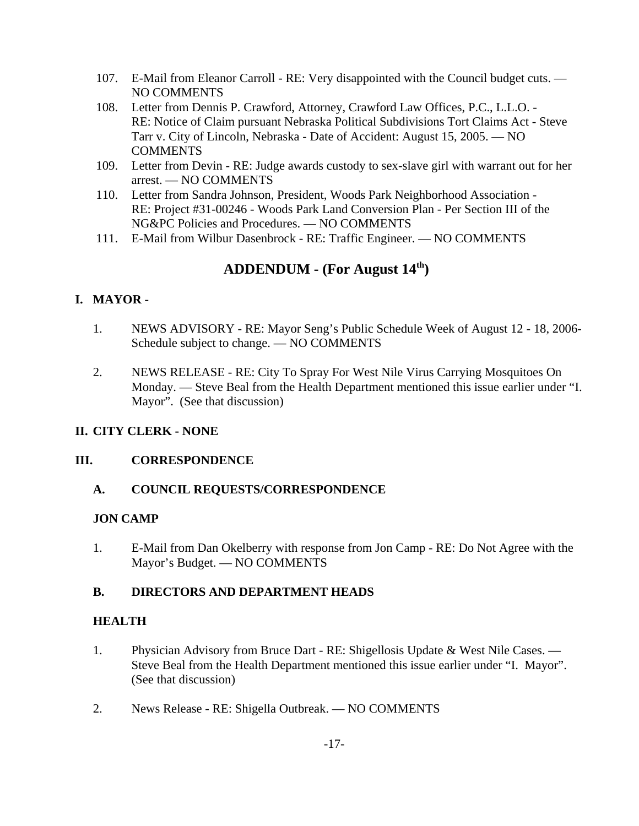- 107. E-Mail from Eleanor Carroll RE: Very disappointed with the Council budget cuts. NO COMMENTS
- 108. Letter from Dennis P. Crawford, Attorney, Crawford Law Offices, P.C., L.L.O. RE: Notice of Claim pursuant Nebraska Political Subdivisions Tort Claims Act - Steve Tarr v. City of Lincoln, Nebraska - Date of Accident: August 15, 2005. — NO **COMMENTS**
- 109. Letter from Devin RE: Judge awards custody to sex-slave girl with warrant out for her arrest. — NO COMMENTS
- 110. Letter from Sandra Johnson, President, Woods Park Neighborhood Association RE: Project #31-00246 - Woods Park Land Conversion Plan - Per Section III of the NG&PC Policies and Procedures. — NO COMMENTS
- 111. E-Mail from Wilbur Dasenbrock RE: Traffic Engineer. NO COMMENTS

# **ADDENDUM - (For August 14th)**

# **I. MAYOR -**

- 1. NEWS ADVISORY RE: Mayor Seng's Public Schedule Week of August 12 18, 2006- Schedule subject to change. — NO COMMENTS
- 2. NEWS RELEASE RE: City To Spray For West Nile Virus Carrying Mosquitoes On Monday. — Steve Beal from the Health Department mentioned this issue earlier under "I. Mayor". (See that discussion)

# **II. CITY CLERK - NONE**

# **III. CORRESPONDENCE**

# **A. COUNCIL REQUESTS/CORRESPONDENCE**

# **JON CAMP**

1. E-Mail from Dan Okelberry with response from Jon Camp - RE: Do Not Agree with the Mayor's Budget. — NO COMMENTS

# **B. DIRECTORS AND DEPARTMENT HEADS**

# **HEALTH**

- 1. Physician Advisory from Bruce Dart RE: Shigellosis Update & West Nile Cases. **—** Steve Beal from the Health Department mentioned this issue earlier under "I. Mayor". (See that discussion)
- 2. News Release RE: Shigella Outbreak. NO COMMENTS